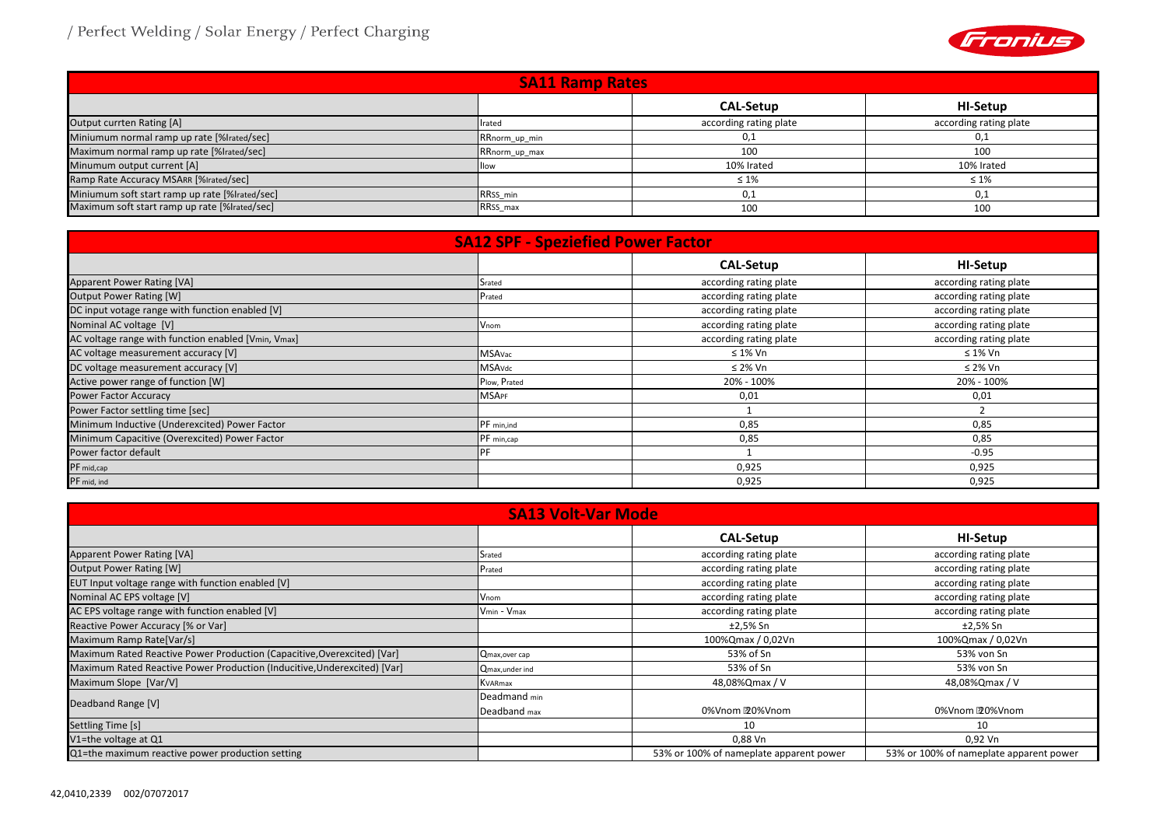

## / Perfect Welding / Solar Energy / Perfect Charging

| <b>SA11 Ramp Rates</b>                         |               |                        |                        |  |  |  |  |  |  |  |  |  |
|------------------------------------------------|---------------|------------------------|------------------------|--|--|--|--|--|--|--|--|--|
|                                                |               | <b>CAL-Setup</b>       | HI-Setup               |  |  |  |  |  |  |  |  |  |
| Output currten Rating [A]                      | Irated        | according rating plate | according rating plate |  |  |  |  |  |  |  |  |  |
| Miniumum normal ramp up rate [%lrated/sec]     | RRnorm_up_min | 0,1                    | 0,1                    |  |  |  |  |  |  |  |  |  |
| Maximum normal ramp up rate [%lrated/sec]      | RRnorm_up_max | 100                    | 100                    |  |  |  |  |  |  |  |  |  |
| Minumum output current [A]                     | Illow         | 10% Irated             | 10% Irated             |  |  |  |  |  |  |  |  |  |
| Ramp Rate Accuracy MSARR [%Irated/sec]         |               | $\leq 1\%$             | $\leq 1\%$             |  |  |  |  |  |  |  |  |  |
| Miniumum soft start ramp up rate [%lrated/sec] | RRSS min      | 0.1                    | 0,1                    |  |  |  |  |  |  |  |  |  |
| Maximum soft start ramp up rate [%lrated/sec]  | RRSS_max      | 100                    | 100                    |  |  |  |  |  |  |  |  |  |

|                                                     | <b>SA12 SPF - Speziefied Power Factor</b> |                        |                        |
|-----------------------------------------------------|-------------------------------------------|------------------------|------------------------|
|                                                     |                                           | <b>CAL-Setup</b>       | HI-Setup               |
| Apparent Power Rating [VA]                          | Srated                                    | according rating plate | according rating plate |
| <b>Output Power Rating [W]</b>                      | Prated                                    | according rating plate | according rating plate |
| DC input votage range with function enabled [V]     |                                           | according rating plate | according rating plate |
| Nominal AC voltage [V]                              | Vnom                                      | according rating plate | according rating plate |
| AC voltage range with function enabled [Vmin, Vmax] |                                           | according rating plate | according rating plate |
| AC voltage measurement accuracy [V]                 | MSAvac                                    | $\leq 1\%$ Vn          | $\leq 1\%$ Vn          |
| DC voltage measurement accuracy [V]                 | <b>MSAvdc</b>                             | ≤ 2% Vn                | $\leq$ 2% Vn           |
| Active power range of function [W]                  | Plow, Prated                              | 20% - 100%             | 20% - 100%             |
| <b>Power Factor Accuracy</b>                        | <b>MSAPF</b>                              | 0,01                   | 0,01                   |
| Power Factor settling time [sec]                    |                                           |                        |                        |
| Minimum Inductive (Underexcited) Power Factor       | PF min, ind                               | 0,85                   | 0,85                   |
| Minimum Capacitive (Overexcited) Power Factor       | PF min, cap                               | 0,85                   | 0,85                   |
| Power factor default                                | PF                                        |                        | $-0.95$                |
| PF mid,cap                                          |                                           | 0,925                  | 0,925                  |
| PF mid, ind                                         |                                           | 0,925                  | 0,925                  |

|                                                                          | <b>SA13 Volt-Var Mode</b> |                                         |                                         |  |  |
|--------------------------------------------------------------------------|---------------------------|-----------------------------------------|-----------------------------------------|--|--|
|                                                                          |                           | <b>CAL-Setup</b>                        | <b>HI-Setup</b>                         |  |  |
| Apparent Power Rating [VA]                                               | Srated                    | according rating plate                  | according rating plate                  |  |  |
| <b>Output Power Rating [W]</b>                                           | Prated                    | according rating plate                  | according rating plate                  |  |  |
| EUT Input voltage range with function enabled [V]                        |                           | according rating plate                  | according rating plate                  |  |  |
| Nominal AC EPS voltage [V]                                               | Vnom                      | according rating plate                  | according rating plate                  |  |  |
| AC EPS voltage range with function enabled [V]                           | Vmin - Vmax               | according rating plate                  | according rating plate                  |  |  |
| Reactive Power Accuracy [% or Var]                                       |                           | ±2,5% Sn                                | ±2,5% Sn                                |  |  |
| Maximum Ramp Rate[Var/s]                                                 |                           | 100%Qmax / 0,02Vn                       | 100%Qmax / 0,02Vn                       |  |  |
| Maximum Rated Reactive Power Production (Capacitive, Overexcited) [Var]  | Qmax, over cap            | 53% of Sn                               | 53% von Sn                              |  |  |
| Maximum Rated Reactive Power Production (Inducitive, Underexcited) [Var] | Qmax, under ind           | 53% of Sn                               | 53% von Sn                              |  |  |
| Maximum Slope [Var/V]                                                    | KVARmax                   | 48,08%Qmax / V                          | 48,08%Qmax / V                          |  |  |
|                                                                          | Deadmand min              |                                         |                                         |  |  |
| Deadband Range [V]                                                       | Deadband max              | 0%Vnom 20%Vnom                          | 0%Vnom 20%Vnom                          |  |  |
| Settling Time [s]                                                        |                           | 10                                      | 10                                      |  |  |
| V1=the voltage at Q1                                                     |                           | 0,88 Vn                                 | 0,92 Vn                                 |  |  |
| Q1=the maximum reactive power production setting                         |                           | 53% or 100% of nameplate apparent power | 53% or 100% of nameplate apparent power |  |  |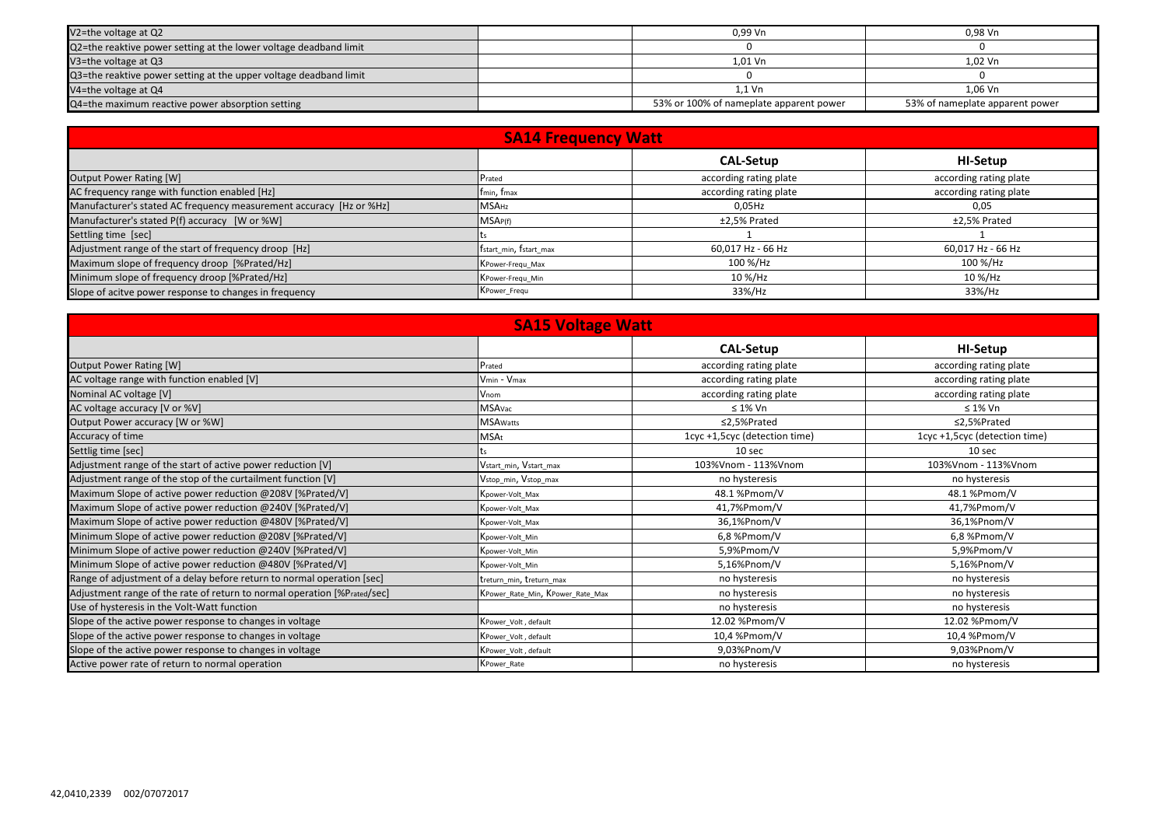| V2=the voltage at Q2                                              | 0,99 Vn                                 | 0,98 Vn                         |
|-------------------------------------------------------------------|-----------------------------------------|---------------------------------|
| Q2=the reaktive power setting at the lower voltage deadband limit |                                         |                                 |
| V3=the voltage at Q3                                              | 1,01 Vn                                 | 1,02 Vn                         |
| Q3=the reaktive power setting at the upper voltage deadband limit |                                         |                                 |
| V4=the voltage at Q4                                              | 1,1 Vn                                  | 1,06 Vn                         |
| Q4=the maximum reactive power absorption setting                  | 53% or 100% of nameplate apparent power | 53% of nameplate apparent power |

|                                                                     | <b>SA14 Frequency Watt</b> |                        |                        |  |  |  |  |  |  |  |  |  |  |
|---------------------------------------------------------------------|----------------------------|------------------------|------------------------|--|--|--|--|--|--|--|--|--|--|
|                                                                     |                            | <b>CAL-Setup</b>       | HI-Setup               |  |  |  |  |  |  |  |  |  |  |
| Output Power Rating [W]                                             | Prated                     | according rating plate | according rating plate |  |  |  |  |  |  |  |  |  |  |
| AC frequency range with function enabled [Hz]                       | fmin, fmax                 | according rating plate | according rating plate |  |  |  |  |  |  |  |  |  |  |
| Manufacturer's stated AC frequency measurement accuracy [Hz or %Hz] | <b>MSAHz</b>               | 0,05Hz                 | 0,05                   |  |  |  |  |  |  |  |  |  |  |
| Manufacturer's stated P(f) accuracy [W or %W]                       | MSAP(f)                    | ±2,5% Prated           | ±2,5% Prated           |  |  |  |  |  |  |  |  |  |  |
| Settling time [sec]                                                 |                            |                        |                        |  |  |  |  |  |  |  |  |  |  |
| Adjustment range of the start of frequency droop [Hz]               | fstart_min, fstart_max     | 60,017 Hz - 66 Hz      | 60,017 Hz - 66 Hz      |  |  |  |  |  |  |  |  |  |  |
| Maximum slope of frequency droop [%Prated/Hz]                       | KPower-Frequ_Max           | 100 %/Hz               | 100 %/Hz               |  |  |  |  |  |  |  |  |  |  |
| Minimum slope of frequency droop [%Prated/Hz]                       | KPower-Frequ_Min           | 10 %/Hz                | 10 %/Hz                |  |  |  |  |  |  |  |  |  |  |
| Slope of acitve power response to changes in frequency              | KPower Frequ               | 33%/Hz                 | 33%/Hz                 |  |  |  |  |  |  |  |  |  |  |

|                                                                          | <b>SA15 Voltage Watt</b>         |                               |                               |
|--------------------------------------------------------------------------|----------------------------------|-------------------------------|-------------------------------|
|                                                                          |                                  | <b>CAL-Setup</b>              | <b>HI-Setup</b>               |
| <b>Output Power Rating [W]</b>                                           | Prated                           | according rating plate        | according rating plate        |
| AC voltage range with function enabled [V]                               | Vmin - Vmax                      | according rating plate        | according rating plate        |
| Nominal AC voltage [V]                                                   | Vnom                             | according rating plate        | according rating plate        |
| AC voltage accuracy [V or %V]                                            | MSAvac                           | $\leq 1\%$ Vn                 | $\leq 1\%$ Vn                 |
| Output Power accuracy [W or %W]                                          | <b>MSA</b> Watts                 | ≤2,5%Prated                   | ≤2,5%Prated                   |
| Accuracy of time                                                         | MSAt                             | 1cyc +1,5cyc (detection time) | 1cyc +1,5cyc (detection time) |
| Settlig time [sec]                                                       |                                  | 10 sec                        | 10 sec                        |
| Adjustment range of the start of active power reduction [V]              | Vstart_min, Vstart_max           | 103%Vnom - 113%Vnom           | 103%Vnom - 113%Vnom           |
| Adjustment range of the stop of the curtailment function [V]             | Vstop_min, Vstop_max             | no hysteresis                 | no hysteresis                 |
| Maximum Slope of active power reduction @208V [%Prated/V]                | Kpower-Volt_Max                  | 48.1 %Pmom/V                  | 48.1 %Pmom/V                  |
| Maximum Slope of active power reduction @240V [%Prated/V]                | Kpower-Volt_Max                  | 41,7%Pmom/V                   | 41,7%Pmom/V                   |
| Maximum Slope of active power reduction @480V [%Prated/V]                | Kpower-Volt_Max                  | 36,1%Pnom/V                   | 36,1%Pnom/V                   |
| Minimum Slope of active power reduction @208V [%Prated/V]                | Kpower-Volt_Min                  | 6,8 %Pmom/V                   | 6,8 %Pmom/V                   |
| Minimum Slope of active power reduction @240V [%Prated/V]                | Kpower-Volt_Min                  | 5,9%Pmom/V                    | 5,9%Pmom/V                    |
| Minimum Slope of active power reduction @480V [%Prated/V]                | Kpower-Volt_Min                  | 5,16%Pnom/V                   | 5,16%Pnom/V                   |
| Range of adjustment of a delay before return to normal operation [sec]   | treturn_min, treturn_max         | no hysteresis                 | no hysteresis                 |
| Adjustment range of the rate of return to normal operation [%Prated/sec] | KPower_Rate_Min, KPower_Rate_Max | no hysteresis                 | no hysteresis                 |
| Use of hysteresis in the Volt-Watt function                              |                                  | no hysteresis                 | no hysteresis                 |
| Slope of the active power response to changes in voltage                 | KPower_Volt, default             | 12.02 %Pmom/V                 | 12.02 %Pmom/V                 |
| Slope of the active power response to changes in voltage                 | KPower_Volt, default             | 10,4 %Pmom/V                  | 10,4 %Pmom/V                  |
| Slope of the active power response to changes in voltage                 | KPower_Volt, default             | 9,03%Pnom/V                   | 9,03%Pnom/V                   |
| Active power rate of return to normal operation                          | KPower_Rate                      | no hysteresis                 | no hysteresis                 |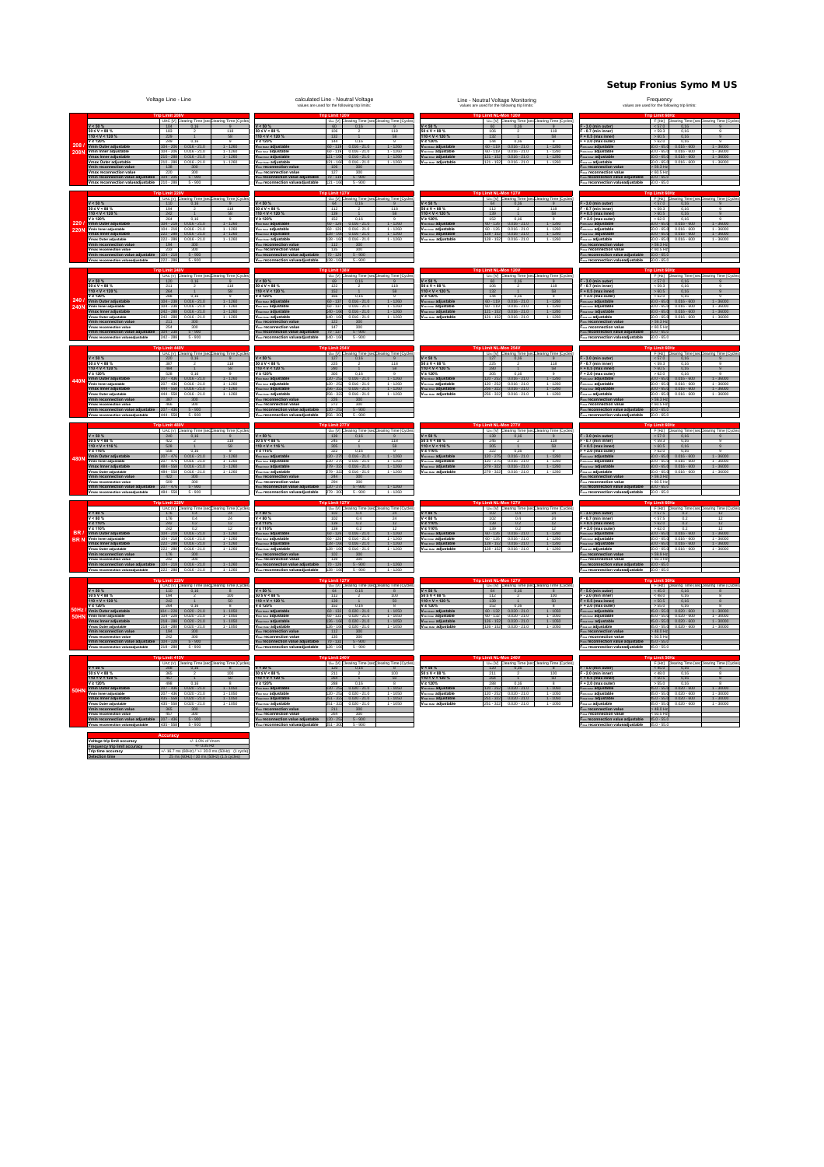Setup Fronius Symo M US

|                     | Voltage Line - Line                                                                                                                                                                                                                                                                                                                                                                                                                                                                                                                                                                                                                                                  | calculated Line - Neutral Voltage<br>values are used for the following trip limits:                                                                                                                                                                                                                                                                                                                                                                                                                                                                                                                                                               | Line - Neutral Voltage Monitoring<br>values are used for the following trip limits:                                                                                                                                                                                                                                                                                                                                                                                             | Frequency<br>values are used for the following trip limits.                                                                                                                                                                                                                                                                                                                                                                                                                                                                                                                                                                                           |  |  |  |
|---------------------|----------------------------------------------------------------------------------------------------------------------------------------------------------------------------------------------------------------------------------------------------------------------------------------------------------------------------------------------------------------------------------------------------------------------------------------------------------------------------------------------------------------------------------------------------------------------------------------------------------------------------------------------------------------------|---------------------------------------------------------------------------------------------------------------------------------------------------------------------------------------------------------------------------------------------------------------------------------------------------------------------------------------------------------------------------------------------------------------------------------------------------------------------------------------------------------------------------------------------------------------------------------------------------------------------------------------------------|---------------------------------------------------------------------------------------------------------------------------------------------------------------------------------------------------------------------------------------------------------------------------------------------------------------------------------------------------------------------------------------------------------------------------------------------------------------------------------|-------------------------------------------------------------------------------------------------------------------------------------------------------------------------------------------------------------------------------------------------------------------------------------------------------------------------------------------------------------------------------------------------------------------------------------------------------------------------------------------------------------------------------------------------------------------------------------------------------------------------------------------------------|--|--|--|
| 208<br>2081         | UAC [V] Clearing Time [sec Clearing Time [Cycle<br>$V < 50 \%$<br>104<br>$50 \le V < 88$<br>183<br>118<br>$110 < V < 120$ %<br>229<br>50<br>2 1209<br>Vmin Outer adjustable<br>$1 - 1260$<br>$104 - 206$<br>$0.016 - 21.0$<br>in Inner adjustabl<br>$0.016 - 21.0$<br>$0.016 - 21.0$<br>$1 - 1260$<br>1 - 1260<br>$210 - 288$<br>Vmax Inner adjustable<br>Vmax Outer adjustable<br>$0.016 - 21.0$<br>$1 - 1260$<br>138<br>300<br>max reconnection valu<br>220<br>300<br>nin reconnection value adjustable   104 - 206<br>$5 - 900$                                                                                                                                   | U <sub>kc</sub> [V] Clearing Time [secClearing Time [Cycl<br>$V < 50 \%$<br>60<br>0,16<br>$0 \leq V \leq 88$<br>106<br>118<br>$10 < V < 120 \%$<br>$\frac{188}{144}$<br>58<br>120%<br>$1 - 1260$<br>in over adjustable<br>$60 - 119$ 0.016 - 21.0<br>adjustable<br>$1 - 1260$<br>1 - 1260<br>$0.016 - 21.0$<br>0.016 - 21.0<br>$121 - 166$<br><b>www.adjustable</b><br><sub>ww</sub> adjustable<br>$121 - 166$<br>$0.016 - 21.0$<br>$1 - 1260$<br>106<br>reconnection \<br>300<br>reconnection value<br>127<br>300<br>in reconnection value adjustable<br>$70 - 119$<br>$5 - 900$                                                                 | U <sub>AC</sub> [V] Clearing Time [sec Clearing Time [Cycle<br>$1 < 50 \%$<br>60<br>$0 \le V \le 88\%$<br>106<br>118<br>$10 < V < 120 \%$<br>$\frac{132}{144}$<br>58<br>: 120%<br>$1 - 1260$<br><b>wow adjustable</b><br>$60 - 119$<br>$0.016 - 21.0$<br>adjustable<br>$60 - 119$<br>121 - 152<br>$0.016 - 21.0$<br>0.016 - 21.0<br>$1.1260$<br>$1.1260$<br>sterer adjustable<br>Vess over adjustable<br>$121 - 152$<br>$0.016 - 21.0$<br>$1 - 1260$                            | F [Hz] Clearing Time [secClearing Time [Cycle<br>$-3.0$ (min outer)<br>< 57.0<br>0,1<br>$-0.7$ (min inner)<br>< 59.3<br>F + 0.5 (max inner<br>> 60.5<br>0,16<br>+ 2.0 (max outer)<br>>62.0<br>$1 - 36000$<br>nis outer adjustable<br>$50.0 - 65.0$<br>$0.016 - 600$<br>- adjustable<br>$1 - 36000$<br>$1 - 36000$<br>$0.016 - 600$<br>www adjustable<br>$50.0 - 65.0$<br><sub>ss out</sub> adjustable<br>$50.0 - 65.0$<br>$1 - 36000$<br>$0.016 - 600$<br>$>$ 59.3 Hz<br>a reconnection<br><sub>ex</sub> reconnection valu<br>< 60.5 Hz<br>nin reconnection value adjustable<br>$50.0 - 65.0$                                                         |  |  |  |
| 220<br><b>220M</b>  | UAC [V] Clearing Time [secClearing Time [Cycles<br>$V < 50 \%$<br>110<br>0.16<br>50 ≤ V < 88 %<br>194<br>$110 < V < 120$ %<br>242<br><b>FSR</b><br>0.16<br>nin Outer adjustal<br>$104 - 218$<br>$0.016 - 21.0$<br>$1 - 126$<br>in Inner adjustable<br>$104 - 21$<br>$0.016 - 21.0$<br>$1 - 1260$<br>max Inner adjustable<br>$222 - 285$<br>$0.016 - 21.0$<br>$1 - 1260$<br>nax Outer adjustable<br>$222 - 285$<br>$0.016 - 21.0$<br>$1 - 1260$<br>194<br>300<br>in reconnection val<br>max reconnection value<br>233<br>300<br>nin reconnection value adjustable<br>$104 - 218$<br>$5 - 900$                                                                         | U <sub>kc</sub> [V] Clearing Time [secClearing Time [Cycle<br>1 < 50%<br>64<br>0.16<br>0 S V < 88 %<br>112<br>110 < V < 120%<br>139<br>$\overline{1}$<br>58<br>152<br>0.16<br>ow adjustab<br>$60 - 121$<br>$0.016 - 21$<br>.126<br><b>INNY adjustable</b><br>$0.016 - 21.0$<br>$1 - 126$<br>$60 - 126$<br>$128 - 166$<br>$0.016 - 21.0$<br>$1 - 1260$<br><b>IMM</b> adjustable<br>ouw adjustable<br>$128 - 166$<br>$0.016 - 21.0$<br>$1 - 1260$<br><b>Right</b> reconnection value<br>112<br>300<br>ax reconnection value<br>135<br>$\frac{300}{5 - 900}$<br>reconnection value adjustable<br>$70 - 126$                                          | U <sub>AC</sub> [V] Clearing Time [secClearing Time [Cycle:<br>$1 < 50$ %<br>64<br>0.16<br>SV<88%<br>112<br>$110 < V < 120$ %<br>139<br><b>FSR</b><br>$\overline{1}$<br>120%<br>0.16<br>$1 - 126$<br>$50 - 126$<br><sub>in Over</sub> adjustab<br>$0.016 - 21$<br>almer adjustable<br>$60 - 126$<br>$0.016 - 21.0$<br>$1 - 1260$<br>128 - 152<br>$0.016 - 21.0$<br>$1 - 1260$<br><b>Ilies</b> adjustable<br>View over adjustable<br>$128 - 152$<br>$0.016 - 21.0$<br>$1 - 1260$ | F [Hz] Clearing Time [secClearing Time [Cycle<br>- 3.0 (min outer)<br>57.0<br>0.16<br>$0.7$ (min inner)<br>$F + 0.5$ (max inner)<br>>60.5<br>0.16<br>$+2.0$ (max outer<br>$1 - 360$<br><b>Minimum adjustable</b><br>$50.0 - 65$<br>$0.016 - 6$<br>a now adjustable<br>$50.0 - 65$<br>$0.016 - 600$<br>$1 - 36000$<br>$50.0 - 65.0$<br>$0.016 - 600$<br>$1 - 36000$<br><b>Kiner</b> adjustable<br><sub>as out</sub> adjustable<br>$50.0 - 65.0$<br>$0.016 - 600$<br>$1 - 36000$<br>nia reconnection va<br>$>$ 59.3 Hz<br>na reconnection value<br>< 60.5 Hz<br>in reconnection value adjustable<br>$50.0 - 65.0$                                       |  |  |  |
| 240.<br><b>240N</b> | $222 - 288$<br>$5 - 900$<br>hax reconnection valueadis<br>ring Time [secClearing Time [Cycl<br>UAC <sub>[V]</sub><br>$V < 50 \%$<br>120<br>0,16<br>50 ≤ V < 88 %<br>110 < V < 120 %<br>$\frac{211}{264}$<br>/ ≥ 120%<br>288<br>0,16<br>Vmin Outer adjustable<br>$104 - 235$<br>$0.016 - 21.0$<br>$1 - 1260$<br>nin Inner adjustable<br>$34 - 23$<br>$0.016 - 21.0$<br>.1260<br>/max Inner adjustable<br>$242 - 288$<br>$0.016 - 21.0$<br>$1 - 1260$<br>nax Outer adjustabl<br>$0.016 - 21.0$<br>$1 - 1260$<br>nin reconnection value<br>211<br>300<br>254<br>Vmax reconnection value<br>Vmin reconnection value adjustable<br>300<br>$104 - 231$<br>$5 - 900$        | $128 - 166$<br>$5 - 900$<br>ax reconnection valuead<br><b>stable</b><br>sring Time [secClearing Time [Cyc<br>$U \wedge c$ $[V]$<br>$1 < 50 \%$<br>69<br>0,16<br>9<br>0 ≤ V < 88 %<br>10 < V < 120 %<br>$\frac{122}{152}$<br>118<br>58<br>: 120%<br>166<br>0,16<br>ow adjustable<br>$60 - 137$<br>$0.016 - 21.0$<br>$1 - 1260$<br>asser adjustable<br>$60 - 137$<br>.126<br>$0.016 - 21.0$<br>$140 - 166$<br>$0.016 - 21.0$<br>$1 - 1260$<br><b>IMAY adjustable</b><br>adjustable<br>40 - 168<br>$1 - 1260$<br>in reconnection value<br>122<br>300<br>reconnection value<br>147<br>300<br>reconnection value adjustable<br>$70 - 137$<br>$5 - 900$ | learing Time [Cycl<br>$U \sim N$<br>Time [sec<br>$< 50$ %<br>60<br>0,16<br>9<br>0 ≤ V < 88 %<br>10 < V < 120 %<br>$\frac{106}{132}$<br>118<br>2120%<br>144<br>0,16<br>9<br>ow adjustable<br>$60 - 119$<br>$0.016 - 21.0$<br>$1 - 1260$<br>issier adjustable<br>$60 - 119$<br>$0.016 - 21.$<br>$1 - 1260$<br>$121 - 152$<br>$0.016 - 21.0$<br>$1 - 1260$<br><b>where</b> adjustable<br>er adjustable<br>$121 - 15$<br>$0.016 - 21.0$<br>$1 - 1260$                               | $50.0 - 65.0$<br>nux reconnection valuead<br>ustable<br>F[Hz] K<br>ring Time [secClearing Time [Cy<br>$-3.0$ (min outer)<br>< 57.0<br>0,16<br>- 0.7 (min inner)<br>- + 0.5 (max inner<br>$\frac{1}{50.5}$<br>$\frac{0.16}{0.16}$<br>+ 2.0 (max outer)<br>>62.0<br>0,16<br>in suer adjustable<br>$50.0 - 65.0$<br>$0.016 - 600$<br>$1 - 36000$<br><sub>is new</sub> adjustable<br>50.0 - 65.<br>$-36000$<br>$0.016 - 60$<br>www adjustable<br>$50.0 - 65.0$<br>$0.016 - 600$<br>$1 - 36000$<br>adjustable<br>33 - 0.02<br>$0.016 - 600$<br>$1 - 36000$<br>> 59.3 Hz<br>sis reconnection value<br>< 60.5 Hz<br>$50.0 - 65.0$                            |  |  |  |
|                     | $5 - 90$<br>UAC [V] Clearing Time [sec Clearing Time [Cycle<br>220 0,16 9<br>$V < 50 \%$<br>$50 \leq V < 88$<br>387<br>$110 < V < 120$ %<br>484<br><b>CO</b><br>0.16<br>Vmin Outer adjustable<br>$207 - 436$<br>$0.016 - 21.0$<br>$1 - 1260$<br>$-43$<br>1016 - 210<br>ax Inner adjustabl<br>$144 - 55$<br>$0.016 - 21.0$<br>$1 - 1260$<br>Vmax Outer adjustable<br>444 - 558<br>$0.016 - 21.0$<br>$1 - 1260$<br>tin reconnection value<br>387<br>300<br>Vmax reconnection value<br>$\frac{466}{207 - 436}$<br>$\frac{300}{5 \cdot 900}$<br>nin reconnection value adjustable<br>$5 - 900$                                                                           | reconnection va<br>U <sub>AC</sub> [V] Clearing Time [secClearing Time [Cycle<br>127 0.16 9<br>50%<br>$\leq$ V < 88 %<br>225<br>$10 < V < 120 \%$<br>280<br><b>KR</b><br>ow adjustable<br>$120 - 252$<br>$0.016 - 21.0$<br>$1 - 1260$<br>adjustable<br>1016 - 21 0<br>$156 - 322$<br>$0.016 - 21.0$<br>$1 - 128$<br>suw adjustal)<br>ow adjustable<br>$256 - 322$<br>$0.016 - 21.0$<br>$1 - 1260$<br>a reconnection value<br>226<br>300<br>ess reconnection value<br>ess reconnection value adjustable 120 - 252<br>$-300$<br>6.00                                                                                                                | U <sub>AC</sub> [V] Clearing Time [sec Clearing Time [Cycle<br>127 0,16 9<br>50%<br>$S$ V < 88 %<br>225<br>$0 < V < 120$ %<br>280<br><b>FSR</b><br>nouse adjustable<br>$120 - 252$<br>$0.016 - 21.0$<br>$1 - 1260$<br>016-21<br>$256 - 32$<br>$0.016 - 21.0$<br>$1 - 1260$<br>xmer adjustal<br>ow adjustabl<br>$256 - 322$<br>$0.016 - 21.0$<br>$1 - 1260$                                                                                                                      | « reconnect<br>F [Hz] Clearing Time [secClearing Time [Cycl<br>- 3.0 (min outer<br>57.0<br>$-0.7$ (min inner)<br>< 59.3<br>$= + 0.5$ (max inner<br>560K<br>0.16<br><b>Minimum adjustable</b><br>$50.0 - 65.0$<br>$0.016 - 600$<br>$1 - 36000$<br>usnur adjustable<br>usnur adjustable<br>$00 - 65$<br>$016 - F0$<br>$50.0 - 65.0$<br>$0.016 - 600$<br>$1 - 36001$<br>ux out adjustable<br>$50.0 - 65.0$<br>$0.016 - 600$<br>$1 - 36000$<br>$> 59.3$ Hz<br>is reconnection val                                                                                                                                                                         |  |  |  |
| 80N                 | UAC [V] D<br>saring Time [secClearing Time [Cycle<br>$V < 50 \%$<br>240<br>0.16<br>SV < 88<br>422<br>$110 < V < 116$ %<br>528<br>58<br>558<br>> 116%<br>0.16<br>in Outer adi<br>$207 - 476$<br>$0.016 - 21.0$<br>$1 - 1260$<br>Vmin Inner adjustable<br>$207 - 476$<br>$0.016 - 21.0$<br>$1 - 1260$<br>nax Inner adjustable<br>$484 - 558$<br>$0.016 - 21.0$<br>$1 - 1260$<br>ax Outer adjustabl<br>$0.016 - 21.$<br>$-126$<br>/min reconnection val<br>422<br>300<br>max reconnection value<br>$\frac{509}{207-476}$<br>$\frac{300}{5 \cdot 900}$<br>max reconnection valueadjus<br>$5 - 900$<br>184 - 551                                                          | U <sub>kc</sub> [V] Clearing Time [secClearing Time [Cycl<br>$1 < 50 \%$<br>139<br>0.16<br>SV < 88<br>118<br>245<br>$10 < V < 116$ %<br>305<br>58<br>2 116%<br>322<br>0,16<br>$\alpha$<br>ouw adjusta<br>$120 - 275$<br>$0.016 - 21.0$<br>$1 - 126$<br>asser adjustable<br>$120 - 27$<br>$0.016 - 21.0$<br>$1 - 1260$<br>$279 - 322$<br>$0.016 - 21.0$<br>$1 - 1260$<br>www.adjustabl<br>$0.016 - 21.0$<br>126<br>a reconnection valu<br>244<br>300<br>reconnection value<br>$\frac{294}{120 \cdot 275}$<br>$\frac{300}{5 - 900}$<br>$1 - 1260$<br>nax reconnection valueadjustable<br>$279 - 300$<br>$5 - 900$<br>$1 - 1260$                     | $U \in [V]$<br>aring Time [secClearing Time [Cycle<br>$1 < 50 \%$<br>139<br>0.16<br>SV < 88<br>245<br>118<br>305<br>10 < V < 116 %<br>58<br>2116%<br>322<br>0,16<br>$\Omega$<br>ouw adjusta<br>$120 - 275$<br>$0.016 - 21.0$<br>$1 - 126$<br><b>Allen adjustable</b><br>$120 - 27$<br>$0.016 - 21.0$<br>$1 - 1260$<br>$279 - 32$<br>$0.016 - 21.0$<br>$1 - 1260$<br>$0.016 - 21$<br>ouw adjusta<br>$1 - 126$                                                                    | F[Hz] D<br>saring Time [sec<br>paring Time [Cycl<br>$= -3.0$ (min outer)<br>< 57.0<br>0.16<br>0.7 (min inner)<br>< 59.3<br>$F + 0.5$ (max inner)<br>> 60.5<br>0,16<br>+ 2.0 (max outer)<br>>62.0<br>0,16<br><sup>un outer</sup> adjustable<br>$50.0 - 65.$<br>$0.016 - 60$<br>$1 - 3600$<br>in nur adjustable<br>$50.0 - 65.1$<br>$0.016 - 600$<br>$1 - 36000$<br>$50.0 - 65.0$<br>$0.016 - 600$<br>$1 - 36000$<br>www.adjustal<br>$-3600$<br>s ou adjustable<br>in reconnection val<br>$> 59.3$ Hz<br><u>« reconnection value</u><br>$< 60.5$ Hz<br>$50.0 - 65.0$<br>ustable<br>Free reconnection valueadjustable<br>$50.0 - 65.0$                   |  |  |  |
| BR/<br>BR1          | <b>HAC M</b><br>ing Time [secClearing Time [Cy<br>$V < 80 \%$<br>176<br>1 < 80%<br>176<br>0.4<br>V ≥ 110%<br>242<br>0.2<br>/ ≥ 110%<br>$\frac{242}{104 - 218}$<br>$0.016 - 21.0$<br>$\frac{12}{1.1260}$<br>nin Outer adjustat<br>$0.016 - 21.0$<br>$0.016 - 21.0$<br>$1.1260$<br>$1.1260$<br>max Inner adjustab<br>$222 - 281$<br>/max Outer adjustabl<br>$0.016 - 21.0$<br>$-285$<br>$1 - 1260$<br>176<br>max reconnection value<br>242<br>300<br>$1 - 1260$<br>$1 - 1260$<br>$0.016 - 21.0$<br>in reconnection value adjustable 104 - 218                                                                                                                          | U <sub>AC</sub> M<br>learing Time [secClearing Time [C]<br>180%<br>$102$<br>< 80%<br>102<br>$V \ge 110\%$<br>139<br>02<br>12<br>: 1105<br>139<br>$\frac{12}{1.1260}$<br>$0.016 - 21.0$<br>ow adjustable<br>$60 - 126$<br>adjustable<br>$0.016 - 21.0$<br>$0.016 - 21.0$<br>$-126$<br>$128 - 166$<br>$1 - 1260$<br><b>IMAY adjustable</b><br>www.adjustable<br>$128 - 166$<br>$0.016 - 21.0$<br>$1 - 1260$<br>102<br>« reconnection value<br>139<br>300<br>$1 - 1260$<br>1 - 1260<br>m reconnection value adjustable 70 - 126<br>xx reconnection valueadjustable 128 - 166<br>$5 - 900$                                                            | U <sub>KC</sub> M<br>aring Time [secClearing Time [C<br>< 80%<br>102<br>< 80%<br>102<br>0.4<br>2110%<br>139<br>02<br>: 110%<br>139<br>$1 - 1260$<br>$0.016 - 21.0$<br>$60 - 126$<br>ous adjustabl<br>adjustable<br>$60 - 126$<br>128 - 152<br>$0.016 - 21.0$<br>$0.016 - 21.0$<br>$1 - 1260$<br>xmer adjustable<br>vouw adjustable<br>$0.016 - 21.0$<br>$128 - 152$<br>$1 - 1250$                                                                                               | FIHEL C<br>saring Time [secClearing Time [Cyc<br>$-3.0$ (min outer)<br>$< 57.5$<br>$-0.7$ (min inner)<br>$-575$<br>$F + 0.5$ (max inner)<br>>62.0<br>+ 2.0 (max outer)<br>>62.0<br>$1 - 36000$<br>$0.016 - 600$<br>$50.0 - 65.0$<br><b>Manufacturer adjustable</b><br>adjustable<br>50.0 - 65.0<br>50.0 - 65.0<br>$1 \cdot 36000$<br>$1 \cdot 36000$<br>$0.016 - 600$<br>www.adjustabl<br>adjustable<br>$50.0 - 65.0$<br>$0.016 - 600$<br>$1 - 36000$<br>$>$ 59.9 H<br>« reconnection value<br>< 60.1 Hz<br>au reconnection value adjustable 50.0 - 65.0<br>au reconnection valueadjustable 50.0 - 65.0                                               |  |  |  |
| 50Hz<br>50HN        | UAC [V] Clearing Time [secClearing Time [Cycles<br>$V < 50 \%$<br>110<br>0,16<br>50 ≤ V < 88 %<br>194<br>100<br>$110 < V < 120$ %<br>242<br>: 120%<br>0.16<br>264<br>iin Outer adjust.<br>$34 - 22$<br>$1 - 105$<br>$0.020 - 21.0$<br>in Inner adjustable<br>$1 - 1050$<br>$34 - 22$<br>$0.020 - 21.0$<br>/max Inner adjustable<br>$218 - 285$<br>$0.020 - 21.0$<br>$1 - 1050$<br>Vmax Outer adjustable<br>$218 - 281$<br>$0.020 - 21.0$<br>$1 - 1050$<br>nin reconnection value<br>194<br>300<br>242<br>nax reconnection value<br>$\frac{300}{5.900}$<br>Vmin reconnection value adjustable<br>$104 - 221$<br>$5 - 900$<br>hax reconnection valueadius<br>218 - 288 | U <sub>kc</sub> [V] Clearing Time [secClearing Time [Cycle<br>$1 < 50\%$<br>64<br>0.16<br>SV < 88<br>112<br>100<br>10 < V < 120%<br>139<br>50<br>120%<br>152<br>0.16<br>60 - 132<br>$-105$<br>ow adjust:<br>$0.020 - 21.0$<br><b>www.adjustable</b><br>$1 - 1050$<br>$60 - 13$<br>$0.020 - 21.0$<br>$126 - 166$<br>$0.020 - 21.0$<br>$1 - 1050$<br>ow adjustable<br>$126 - 16$<br>$0.020 - 21.0$<br>$1 - 1050$<br>in reconnection value<br>112<br>300<br>135<br>« reconnection value<br>$\frac{300}{5 - 900}$<br>in reconnection value adjustable<br>$70 - 13$<br>as reconnection valueadiustable<br>$126 - 166$<br>$5 - 900$                     | U <sub>KC</sub> M<br>learing Time [secClearing Time [Cycles<br>< 50%<br>64<br>0.16<br>$5V < 88\%$<br>112<br>100<br>$10 < V < 120$ %<br>139<br>50<br>:120%<br>0.16<br>152<br>$50 - 132$<br>$1 - 105$<br>over adjusta<br>iwer adjustable<br>60 - 132<br>$0.020 - 21.0$<br>$1 - 1050$<br>$126 - 15$<br>$0.020 - 21.0$<br>$1 - 1050$<br>لاستنسا adjustable<br>السياسية adjustable<br>$126 - 152$<br>$0.020 - 21.0$<br>$1 - 1050$                                                    | F [Hz] Clearing Time [secClearing Time [Cycle<br>$-5.0$ (min outer)<br>45.0<br>0.16<br>$-2.0$ (min inner)<br>< 48.0<br>$F + 0.5$ (max inner)<br>> 50.5<br>0.16<br>+ 2.0 (max outer)<br>> 55.0<br>0.16<br>$1 - 3000$<br>sis outer adjustable<br>$45.0 - 55.0$<br>$0.020 - 60$<br>ine adjustable<br>$45.0 - 55$<br>$1 - 30000$<br>$0.020 - 600$<br>$45.0 - 55.0$<br>$0.020 - 600$<br>$1 - 30000$<br>us ou adjustable<br>$1 - 30000$<br>$45.0 - 55.1$<br>$0.020 - 600$<br>nia reconnection value<br>$>$ 48.0 Hz<br><sub>tex</sub> reconnection value<br>$650.5$ Hz<br>in reconnection value adjustable<br>nu reconnection valueadiustable<br>45.0 - 55.0 |  |  |  |
|                     | UAC <sub>[V]</sub><br>ng Time [sec <mark>Clearing Time [Cycl</mark><br>V < 50%<br>208<br>0,16<br>$0 \le V < 88$<br>365<br>457<br>$110 < V < 120 \%$<br>: 120<br>Vmin Outer adjustable<br>$207 - 436$<br>$0.020 - 21.0$<br>$1 - 1050$<br>nin Inner adjustable<br>37 - 431<br>$0.020 - 21.0$<br>$-1050$<br>Vmax Inner adjustable<br>$435 - 558$<br>$0.020 - 21.0$<br>$1 - 1050$<br>in reconnection valu<br>365<br>300<br>Vimax reconnection value<br>457<br>300<br>in reconnection value adjustable<br>$207 - 438$<br>$5 - 900$<br>$5 - 900$<br>Voltage trip limit accur-                                                                                              | $U \ltimes [V]$<br>ing Time [secClearing Time [Cy<br>$V < 50 \%$<br>120<br>0.16<br>$0 \le V \le 88$<br>211<br>$110 < V < 120 \%$<br>264<br>120%<br>nin oyay adjustable<br>$120 - 252$<br>$0.020 - 21.0$<br>$1 - 1050$<br><b>in twee adjustable</b><br>120 - 25<br>$0.020 - 21.0$<br>.105<br><b>Killer adjustable</b><br>$251 - 322$<br>$0.020 - 21.0$<br>$1 - 1050$<br>adjustable<br>in reconnection value<br>211<br>300<br>us reconnection value<br>264<br>300<br>reconnection value adjustable 120 - 252<br>$5 - 900$<br>reconnection valueadjustable<br>$5 - 90$                                                                               | earing Time (Cy<br>$U \sim N$<br>Time (sec)<br>$1 < 50 \%$<br>120<br>0.16<br>5V < 88<br>211<br>m<br>$10 < V < 120$ %<br>264<br>: 120%<br>nin over adjustable<br>$120 - 252$<br>$0.020 - 21.0$<br>$1 - 1050$<br>$1 - 1050$<br><sub>in Iver</sub> adjustable<br>$120 - 25$<br>$0.020 - 21.0$<br>www.adjustable<br>$251 - 322$<br>$0.020 - 21.0$<br>$1 - 1050$<br>adjustable<br>261.22<br>0.020 - 21.0<br>$1 - 1050$                                                               | F[Hz] D<br>ng Time [secClearing Time [Cy<br>$-5.0$ (min outer)<br>< 45.0<br>0,16<br>$-2.0$ (min inner)<br>< 48.0<br>01<br>$+0.5$ (max inner<br>> 50.5<br>0,16<br>+ 2.0 (max outer<br>nis outer adjustable<br>$45.0 - 55.0$<br>$0.020 - 600$<br>$1 - 30000$<br><sub>is new</sub> adjustable<br>5.0 - 55<br>$-30000$<br>$0.020 - 60$<br>www.adjustable<br>$45.0 - 55.0$<br>$0.020 - 600$<br>$1 - 30000$<br>ur adjustable<br>22.0.25<br>$0.020 - 500$<br>$1 - 30000$<br>in reconnection value<br>>48.0 Hz<br>us reconnection value<br>< 50.5 Hz<br>on value adjustable<br>$45.0 - 55$<br>reconnection valueadjustabl                                     |  |  |  |

**Frequency trip limit accuracy Trip time accuracy Detection time** +/- 0.05 Hz +/- 16.7 ms (60Hz) / '+/- 20.0 ms (50Hz) (1 cycle) 25 ms (60Hz) / 30 ms (50Hz) (1.5 cycles)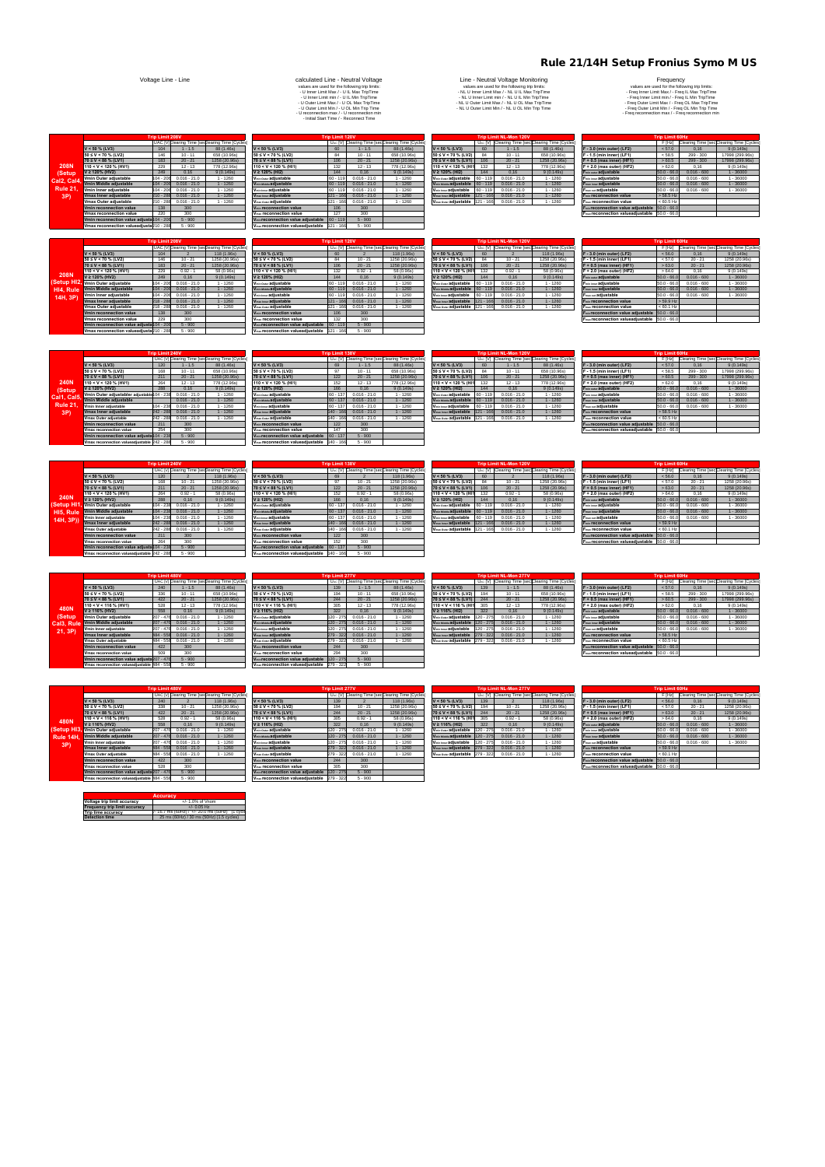| p Limit 208V |                |                                                |                                         | <b>Trip Limit 120V</b> |                |                                                              |                                             |             | <b>Trip Limit NL-Mon 120V</b> |                                                               | <b>Trip Limit 60Hz</b>                                                               |               |               |                                           |  |  |
|--------------|----------------|------------------------------------------------|-----------------------------------------|------------------------|----------------|--------------------------------------------------------------|---------------------------------------------|-------------|-------------------------------|---------------------------------------------------------------|--------------------------------------------------------------------------------------|---------------|---------------|-------------------------------------------|--|--|
|              |                | UAC [V]Clearing Time [seclearing Time [Cycles] |                                         |                        |                | U <sub>AC</sub> [V] Clearing Time [secClearing Time [Cycles] |                                             |             |                               | U <sub>AC</sub> [V] Clearing Time [sec]Clearing Time [Cycles] |                                                                                      | F [Hz]        |               | Clearing Time [sec]Clearing Time [Cycles] |  |  |
| 104          |                | 118 (1.96s)                                    | $V < 50$ % (LV3)                        | 60                     |                | 118 (1.96s)                                                  | $V < 50$ % (LV3)                            | 60          |                               | 118 (1.96s)                                                   | F - 3.0 (min outer) (LF2)                                                            | < 56.0        | 0.16          | 9(0.149s)                                 |  |  |
| 146          | $10 - 21$      | 1258 (20.96s)                                  | $50 \le V < 70$ % (LV2)                 | 84                     | $10 - 21$      | 1258 (20.96s)                                                | $50 \le V < 70$ % (LV2)                     |             | $10 - 21$                     | 1258 (20.96s)                                                 | F - 1.5 (min inner) (LF1)                                                            | < 57.0        | $20 - 21$     | 1258 (20.96s)                             |  |  |
| 183          | $20 - 21$      | 1258 (20.96s)                                  | $70 \le V \le 88 \%$ (LV1)              | 106                    | $20 - 21$      | 1258 (20.96s)                                                | $70 \le V < 88 \% (LV1)$                    | 106         | $20 - 21$                     | 1258 (20.96s)                                                 | $F + 0.5$ (max inner) (HF1)                                                          | >63.0         | $20 - 21$     | 1258 (20.96s)                             |  |  |
| 229          | $0.92 - 1$     | 58 (0.96s)                                     | $110 < V < 120$ % (HI1)                 | 132                    | $0.92 - 1$     | 58 (0.96s)                                                   | 110 < V < 120 % (HI1                        | 132         | $0.92 - 1$                    | 58 (0.96s)                                                    | F + 2.0 (max outer) (HF2)                                                            | >64.0         | 0.16          | 9(0.149s)                                 |  |  |
| 249          | 0.16           | 9(0.149s)                                      | $V \ge 120\%$ (HI2)                     | 144                    | 0.16           | 9(0.149s)                                                    | $V \ge 120\%$ (HI2)                         | 144         | 0.16                          | 9(0.149s)                                                     | F <sub>min outer</sub> adjustable                                                    | $50.0 - 66.0$ | $0.016 - 600$ | $1 - 36000$                               |  |  |
| $04 - 206$   | $0.016 - 21.0$ | $1 - 1260$                                     | V <sub>min Outer</sub> adjustable       | $60 - 119$             | $0.016 - 21.0$ | $1 - 1260$                                                   | V <sub>min Outer</sub> adjustable           | $60 - 119$  | $0.016 - 21.0$                | $1 - 1260$                                                    | F <sub>min inner</sub> adjustable                                                    | $50.0 - 66.0$ | $0.016 - 600$ | $1 - 36000$                               |  |  |
| $04 - 206$   | $0.016 - 21.0$ | $1 - 1260$                                     | V <sub>min Middle</sub> adjustable      | $60 - 119$             | $0.016 - 21.0$ | $1 - 1260$                                                   | V <sub>min</sub> Middle adiustable 60 - 119 |             | $0.016 - 21.0$                | $1 - 1260$                                                    | F <sub>max inner</sub> adjustable                                                    | $50.0 - 66.0$ | $0.016 - 600$ | $1 - 36000$                               |  |  |
| $04 - 206$   | $0.016 - 21.0$ | $1 - 1260$                                     | V <sub>min Inner</sub> adiustable       | $160 - 115$            | $0.016 - 21.0$ | $1 - 1260$                                                   | V <sub>min Inner</sub> adjustable           | $60 - 119$  | $0.016 - 21.0$                | $1 - 1260$                                                    | F <sub>max out</sub> adjustable                                                      | $50.0 - 66.0$ | $0.016 - 600$ | $1 - 36000$                               |  |  |
| $18 - 288$   | $0.016 - 21.0$ | $1 - 1260$                                     | <b>V<sub>max Inner</sub></b> adiustable | $121 - 166$            | $0.016 - 21.0$ | $1 - 1260$                                                   | V <sub>max Inner</sub> adjustable           | $121 - 166$ | $0.016 - 21.0$                | $1 - 1260$                                                    | <b>F<sub>min</sub></b> reconnection value                                            | $>$ 59.9 Hz   |               |                                           |  |  |
| 18 - 288     | $0.016 - 21.0$ | $1 - 1260$                                     | V <sub>max</sub> outer adiustable       | 121 - 166              | $0.016 - 21.0$ | $1 - 1260$                                                   | Vmax Outer adjustable 121 - 166             |             | $0.016 - 21.0$                | $-1260$                                                       | F <sub>max</sub> reconnection value                                                  | < 60.1 Hz     |               |                                           |  |  |
| 138          | 300            |                                                | V <sub>min</sub> reconnection value     | 106                    | 300            |                                                              |                                             |             |                               |                                                               | $F_{min}$ reconnection value adjustable $\begin{bmatrix} 50.0 & -66.0 \end{bmatrix}$ |               |               |                                           |  |  |
| 229          | 300            |                                                | V <sub>max</sub> reconnection value     | 132                    | 300            |                                                              |                                             |             |                               |                                                               | F <sub>max</sub> reconnection valueadjustable 50.0 - 66.0                            |               |               |                                           |  |  |

|                                           | .         |                |                                                 |                                                |            |                |                                                             |
|-------------------------------------------|-----------|----------------|-------------------------------------------------|------------------------------------------------|------------|----------------|-------------------------------------------------------------|
|                                           |           |                | UAC [V] Clearing Time [seclearing Time [Cycles] |                                                |            |                | U <sub>AC</sub> [V] Clearing Time [secClearing Time [Cycles |
| $V < 50 \%$ (LV3)                         | 104       |                | 118 (1.96s)                                     | $V < 50$ % (LV3)                               | 60         |                | 118 (1.96s)                                                 |
| 50 ≤ V < 70 % (LV2)                       | 146       | $10 - 21$      | 1258 (20.96s)                                   | $50 \le V < 70$ % (LV2)                        | 84         | $10 - 21$      | 1258 (20.96s)                                               |
| 70 ≤ V < 88 % (LV1)                       | 183       | $20 - 21$      | 1258 (20.96s)                                   | 70 ≤ V < 88 % (LV1)                            | 106        | $20 - 21$      | 1258 (20.96s)                                               |
| 110 < V < 120 % (HV1)                     | 229       | $0.92 - 1$     | 58 (0.96s)                                      | $110 < V < 120$ % (HI1)                        | 132        | $0.92 - 1$     | 58 (0.96s)                                                  |
| $V \ge 120\%$ (HV2)                       | 249       | 0.16           | 9(0.149s)                                       | $V \ge 120\%$ (HI2)                            | 144        | 0.16           | 9(0.149s)                                                   |
| Vmin Outer adiustable                     | 104 - 206 | $0.016 - 21.0$ | $1 - 1260$                                      | V <sub>min Outer</sub> adiustable              | $60 - 119$ | $0.016 - 21.0$ | $1 - 1260$                                                  |
| Vmin Middle adjustable                    | 104 - 206 | $0.016 - 21.0$ | $1 - 1260$                                      | V <sub>min Middle</sub> adjustable             | $60 - 119$ | $0.016 - 21.0$ | $1 - 1260$                                                  |
| Vmin Inner adiustable                     | 104 - 206 | $0.016 - 21.0$ | $1 - 1260$                                      | V <sub>min Inner</sub> adiustable              | $60 - 119$ | $0.016 - 21.0$ | $1 - 1260$                                                  |
| Vmax Inner adiustable                     | 218 - 288 | $0.016 - 21.0$ | $1 - 1260$                                      | <b>Vmax Inner adiustable</b>                   | 121 - 166  | $0.016 - 21.0$ | $1 - 1260$                                                  |
| Vmax Outer adiustable                     | 218 - 288 | $0.016 - 21.0$ | $1 - 1260$                                      | V <sub>max Outer</sub> adiustable              | 121 - 166  | $0.016 - 21.0$ | $1 - 1260$                                                  |
| <b>Vmin reconnection value</b>            | 138       | 300            |                                                 | <b>V<sub>min</sub></b> reconnection value      | 106        | 300            |                                                             |
| <b>Vmax reconnection value</b>            | 229       | 300            |                                                 | V <sub>max</sub> reconnection value            | 132        | 300            |                                                             |
| Vmin reconnection value adjusta 104 - 206 |           | $5 - 900$      |                                                 | V <sub>min</sub> reconnection value adjustable | $60 - 119$ | $5 - 900$      |                                                             |
| Vmax reconnection valueadiusta 210 - 288  |           | $5 - 900$      |                                                 | V <sub>max</sub> reconnection valueadiustable  | 121 - 166  | $5 - 900$      |                                                             |
|                                           |           |                |                                                 |                                                |            |                |                                                             |

|             |                                                       | <b>Trip Limit 208V</b> |                |                                                |                                                                        | <b>Trip Limit 120V</b> |                |                                                              |                                   |            | Trip Limit NL-Mon 120V |                                                               | <b>Trip Limit 60Hz</b>                                     |               |               |                                                  |  |  |
|-------------|-------------------------------------------------------|------------------------|----------------|------------------------------------------------|------------------------------------------------------------------------|------------------------|----------------|--------------------------------------------------------------|-----------------------------------|------------|------------------------|---------------------------------------------------------------|------------------------------------------------------------|---------------|---------------|--------------------------------------------------|--|--|
|             |                                                       |                        |                | UAC [V]Clearing Time [seclearing Time [Cycles] |                                                                        |                        |                | U <sub>AC</sub> [V] Clearing Time [secClearing Time [Cycles] |                                   |            |                        | U <sub>AC</sub> [V] Clearing Time [sec]Clearing Time [Cycles] |                                                            |               |               | F [Hz] Clearing Time [sec]Clearing Time [Cycles] |  |  |
|             | $V < 50 \%$ (LV3)                                     | 104                    | $1 - 1.5$      | 88 (1.46s)                                     | $V < 50$ % (LV3)                                                       | 60                     | $1 - 1.5$      | 88 (1.46s)                                                   | $V < 50$ % (LV3)                  | 60         | $1 - 1.5$              | 88 (1.46s)                                                    | F - 3.0 (min outer) (LF2)                                  | < 57.0        | 0.16          | 9(0.149s)                                        |  |  |
|             | $50 \le V < 70$ % (LV2)                               |                        | $10 - 11$      | 658 (10.96s)                                   | $50 \le V < 70$ % (LV2)                                                | 84                     | $10 - 11$      | 658 (10.96s)                                                 | $50 \le V < 70$ % (LV2)           |            | $10 - 11$              | 658 (10.96s)                                                  | F - 1.5 (min inner) (LF1)                                  | < 58.5        | $299 - 300$   | 17998 (299.96s)                                  |  |  |
|             | $70 \le V \le 88$ % (LV1)                             | 183                    | $20 - 21$      | 1258 (20.96s)                                  | $70 \le V < 88$ % (LV1)                                                | 106                    | $20 - 21$      | 1258 (20.96s)                                                | $70 \le V < 88 \% (LV1)$          | 106        | $20 - 21$              | 1258 (20.96s)                                                 | $F + 0.5$ (max inner) (HF1)                                | >60.5         | $299 - 300$   | 17998 (299.96s)                                  |  |  |
| <b>208N</b> | $110 < V < 120$ % (HV1)                               | 229                    | $12 - 13$      | 778 (12.96s)                                   | $110 < V < 120$ % (HI1)                                                | 132                    | $12 - 13$      | 778 (12.96s)                                                 | 110 < V < 120 % (HI1              | 132        | $12 - 13$              | 778 (12.96s)                                                  | $F + 2.0$ (max outer) (HF2)                                | >62.0         | 0.16          | 9(0.149s)                                        |  |  |
| (Setup)     | $V \ge 120\%$ (HV2)                                   | 249                    | 0.16           | 9(0.149s)                                      | $V \ge 120\%$ (HI2)                                                    | 144                    | 0.16           | 9(0.149s)                                                    | $V \ge 120\%$ (HI2)               | 144        | 0.16                   | 9(0.149s)                                                     | F <sub>min outer</sub> adjustable                          | $50.0 - 66.0$ | $0.016 - 600$ | $1 - 36000$                                      |  |  |
| Cal2, Cal4. | Vmin Outer adjustable                                 | 104 - 206              | $0.016 - 21.0$ | $-1260$                                        | V <sub>min Outer</sub> adjustable                                      | $60 - 119$             | $0.016 - 21.0$ | $-1260$                                                      | V <sub>min Outer</sub> adjustable | 60 - 119   | $0.016 - 21.0$         | $-1260$                                                       | F <sub>min inner</sub> adjustable                          | $50.0 - 66.0$ | $0.016 - 600$ | $-36000$                                         |  |  |
|             | Vmin Middle adjustable                                | $104 - 206$            | $0.016 - 21.0$ | $1 - 1260$                                     | V <sub>min Middle</sub> adjustable                                     | $60 - 119$             | $0.016 - 21.0$ | $1 - 1260$                                                   | Vmin Middle adjustable 60 - 119   |            | $0.016 - 21.0$         | $1 - 1260$                                                    | F <sub>max inner</sub> adjustable                          | $50.0 - 66.0$ | $0.016 - 600$ | $1 - 36000$                                      |  |  |
| Rule 21     | Vmin Inner adiustable                                 | 104 - 206              | $0.016 - 21.0$ | $-1260$                                        | V <sub>min Inner</sub> adjustable                                      | $60 - 119$             | $0.016 - 21.0$ | $-1260$                                                      | V <sub>min Inner</sub> adjustable | $60 - 119$ | $0.016 - 21.0$         | $-1260$                                                       | F <sub>max out</sub> adjustable                            | $50.0 - 66.0$ | $0.016 - 600$ | $-36000$                                         |  |  |
| 3P)         | Vmax Inner adjustable                                 | $210 - 288$            | $0.016 - 21.0$ | $1 - 1260$                                     | <b>Vmax Inner adjustable</b>                                           | $121 - 166$            | $0.016 - 21.0$ | $1 - 1260$                                                   | Vmax Inner adjustable   121 - 166 |            | $0.016 - 21.0$         | $1 - 1260$                                                    | <b>F<sub>min</sub></b> reconnection value                  | $> 58.5$ Hz   |               |                                                  |  |  |
|             | <b>Vmax Outer adiustable</b>                          | 210 - 288              | $0.016 - 21.0$ | $-1260$                                        | V <sub>max</sub> outer adiustable                                      | 121 - 166              | $0.016 - 21.0$ | $-1260$                                                      | Vmax Outer adjustable 121 - 166   |            | $0.016 - 21.0$         | $1 - 1260$                                                    | <b>F<sub>max</sub></b> reconnection value                  | < 60.5 Hz     |               |                                                  |  |  |
|             | Vmin reconnection value                               | 138                    | 300            |                                                | <b>V<sub>min</sub></b> reconnection value                              | 106                    | 300            |                                                              |                                   |            |                        |                                                               | F <sub>min</sub> reconnection value adjustable 50.0 - 66.0 |               |               |                                                  |  |  |
|             | <b>Vmax reconnection value</b>                        | 220                    | 300            |                                                | V <sub>max</sub> reconnection value                                    | 127                    | 300            |                                                              |                                   |            |                        |                                                               | F <sub>max</sub> reconnection valueadjustable 50.0 - 66.0  |               |               |                                                  |  |  |
|             | Vmin reconnection value adjusta 104 - 206             |                        | $5 - 900$      |                                                | V <sub>min</sub> reconnection value adjustable 60 - 119                |                        | $5 - 900$      |                                                              |                                   |            |                        |                                                               |                                                            |               |               |                                                  |  |  |
|             | $5 - 900$<br>Vmax reconnection valueadiusta 210 - 288 |                        |                |                                                | $5 - 900$<br>V <sub>max</sub> reconnection valueadiustable   121 - 166 |                        |                |                                                              |                                   |            |                        |                                                               |                                                            |               |               |                                                  |  |  |
|             |                                                       |                        |                |                                                |                                                                        |                        |                |                                                              |                                   |            |                        |                                                               |                                                            |               |               |                                                  |  |  |

|             |                                           | <b>Trip Limit 208V</b> |                |                                                |                                                | <b>Trip Limit 120V</b> |                |                                                  |                                   |            | <b>Trip Limit NL-Mon 120V</b> |                                                               | <b>Trip Limit 60Hz</b>                                     |               |               |                                             |  |  |
|-------------|-------------------------------------------|------------------------|----------------|------------------------------------------------|------------------------------------------------|------------------------|----------------|--------------------------------------------------|-----------------------------------|------------|-------------------------------|---------------------------------------------------------------|------------------------------------------------------------|---------------|---------------|---------------------------------------------|--|--|
|             |                                           |                        |                | UAC [V]Clearing Time [seclearing Time [Cycles] |                                                |                        |                | UAc [V] Clearing Time [secClearing Time [Cycles] |                                   |            |                               | U <sub>AC</sub> [V] Clearing Time [sec]Clearing Time [Cycles] |                                                            |               |               | F [Hz] Clearing Time [sec]Clearing Time [C) |  |  |
|             | $V < 50 \%$ (LV3)                         | 104                    |                | 118 (1.96s)                                    | $V < 50$ % (LV3)                               | 60                     |                | 118 (1.96s)                                      | $V < 50$ % (LV3)                  | 60         |                               | 118 (1.96s)                                                   | F - 3.0 (min outer) (LF2)                                  | < 56.0        | 0.16          | 9(0.149s)                                   |  |  |
|             | $50 \le V < 70$ % (LV2)                   | 146                    | $10 - 21$      | 1258 (20.96s)                                  | $50 \le V < 70$ % (LV2)                        | 84                     | $10 - 21$      | 1258 (20.96s)                                    | $50 \le V < 70$ % (LV2)           |            | $10 - 21$                     | 1258 (20.96s)                                                 | F - 1.5 (min inner) (LF1)                                  | < 57.0        | $20 - 21$     | 1258 (20.96s)                               |  |  |
|             | $70 \le V \le 88$ % (LV1)                 | 183                    | $20 - 21$      | 1258 (20.96s)                                  | $70 \le V \le 88$ % (LV1)                      | 106                    | $20 - 21$      | 1258 (20.96s)                                    | $70 \le V < 88 \% (LV1)$          | 106        | $20 - 21$                     | 1258 (20.96s)                                                 | $F + 0.5$ (max inner) (HF1)                                | >63.0         | $20 - 21$     | 1258 (20.96s)                               |  |  |
|             | $110 < V < 120$ % (HV1)                   | 229                    | $0.92 - 1$     | 58 (0.96s)                                     | $110 < V < 120$ % (HI1)                        | 132                    | $0.92 - 1$     | 58 (0.96s)                                       | 110 < V < 120 % (HI1              | 132        | $0.92 - 1$                    | 58 (0.96s)                                                    | + 2.0 (max outer) (HF2)                                    | >64.0         | 0.16          | 9(0.149s)                                   |  |  |
| <b>208N</b> | $V \ge 120\%$ (HV2)                       | 249                    | 0.16           | 9(0.149s)                                      | $V \ge 120\%$ (HI2)                            | 144                    | 0.16           | 9(0.149s)                                        | $V \ge 120\%$ (HI2)               | 144        | 0.16                          | 9(0.149s)                                                     | F <sub>min outer</sub> adjustable                          | $50.0 - 66.0$ | $0.016 - 600$ | $1 - 36000$                                 |  |  |
|             | (Setup HI2, Vmin Outer adjustable         | 104 - 206              | $0.016 - 21.0$ | $1 - 1260$                                     | V <sub>min Outer</sub> adiustable              | $60 - 11$              | $0.016 - 21.0$ | $1 - 1260$                                       | Vmin outer adjustable 60 - 119    |            | $0.016 - 21.0$                | $1 - 1260$                                                    | F <sub>min inner</sub> adjustable                          | $50.0 - 66.0$ | $0.016 - 600$ | $1 - 36000$                                 |  |  |
| HI4. Rule   | Vmin Middle adiustable                    | $104 - 206$            | $0.016 - 21.0$ | $1 - 1260$                                     | V <sub>min Middle</sub> adjustable             | $60 - 119$             | $0.016 - 21.0$ | $1 - 1260$                                       | Vmin Middle adjustable 60 - 119   |            | $0.016 - 21.0$                | $1 - 1260$                                                    | F <sub>max inner</sub> adjustable                          | $50.0 - 66.0$ | $0.016 - 600$ | $1 - 36000$                                 |  |  |
| 14H. 3P)    | Vmin Inner adjustable                     | 104 - 206              | $0.016 - 21.0$ | $1 - 1260$                                     | V <sub>min Inner</sub> adjustable              | $60 - 11$              | $0.016 - 21.0$ | $1 - 1260$                                       | V <sub>min Inner</sub> adjustable | $60 - 119$ | $0.016 - 21.0$                | $1 - 1260$                                                    | F <sub>max out</sub> adjustable                            | $50.0 - 66.0$ | $0.016 - 600$ | $-36000$                                    |  |  |
|             | <b>Vmax Inner adiustable</b>              | $218 - 288$            | $0.016 - 21.0$ | $1 - 1260$                                     | <b>V<sub>max Inner</sub></b> adjustable        | 121 - 166              | $0.016 - 21.0$ | $1 - 1260$                                       | Vmax Inner adjustable   121 - 166 |            | $0.016 - 21.0$                | $1 - 1260$                                                    | F <sub>min</sub> reconnection value                        | $> 59.9$ Hz   |               |                                             |  |  |
|             | Vmax Outer adjustable                     | 218 - 288              | $0.016 - 21.0$ | $1 - 1260$                                     | V <sub>max Outer</sub> adiustable              | 121 - 166              | $0.016 - 21.0$ | $1 - 1260$                                       | Vmax Outer adjustable 121 - 166   |            | $0.016 - 21.0$                | $1 - 1260$                                                    | F <sub>max</sub> reconnection value                        | $< 60.1$ Hz   |               |                                             |  |  |
|             | Vmin reconnection value                   | 138                    | 300            |                                                | <b>V<sub>min</sub></b> reconnection value      | 106                    | 300            |                                                  |                                   |            |                               |                                                               | F <sub>min</sub> reconnection value adjustable 50.0 - 66.0 |               |               |                                             |  |  |
|             | <b>Vmax reconnection value</b>            | 229                    | 300            |                                                | V <sub>max</sub> reconnection value            | 132                    | 300            |                                                  |                                   |            |                               |                                                               | F <sub>max</sub> reconnection valueadjustable 50.0 - 66.0  |               |               |                                             |  |  |
|             | Vmin reconnection value adjusta 104 - 206 |                        | $5 - 900$      |                                                | V <sub>min</sub> reconnection value adjustable | $60 - 119$             | $5 - 900$      |                                                  |                                   |            |                               |                                                               |                                                            |               |               |                                             |  |  |
|             | Vmay reconnection valuesdiustab10 - 288   |                        | $5 - 900$      |                                                | V <sub>mm</sub> reconnection valuesdivetable   | $121 - 166$            | $5 - 900$      |                                                  |                                   |            |                               |                                                               |                                                            |               |               |                                             |  |  |

|                                | <b>Trip Limit 480V</b> |                |                                                 |                                           | <b>Trip Limit 277V</b> |                |                                                              |                                    |           | Trip Limit NL-Mon 277V |                                                               | <b>Trip Limit 60Hz</b>                                        |               |               |                                           |
|--------------------------------|------------------------|----------------|-------------------------------------------------|-------------------------------------------|------------------------|----------------|--------------------------------------------------------------|------------------------------------|-----------|------------------------|---------------------------------------------------------------|---------------------------------------------------------------|---------------|---------------|-------------------------------------------|
|                                |                        |                | UAC [V] Clearing Time [seclearing Time [Cycles] |                                           |                        |                | U <sub>AC</sub> [V] Clearing Time [secClearing Time [Cycles] |                                    |           |                        | U <sub>AC</sub> [V] Clearing Time [sec]Clearing Time [Cycles] |                                                               | F [Hz]        |               | Clearing Time [sec]Clearing Time [Cycles] |
| $V < 50 \%$ (LV3)              | 240                    | $1 - 1.5$      | 88 (1.46s)                                      | $V < 50 \%$ (LV3)                         | 139                    | $1 - 1.5$      | 88 (1.46s)                                                   | $V < 50 \%$ (LV3)                  | 139       | $1 - 1.5$              | 88 (1.46s)                                                    | F - 3.0 (min outer) (LF2)                                     | < 57.0        | 0.16          | 9(0.149s)                                 |
| 50 ≤ V < 70 % (LV2)            | 336                    | $10 - 11$      | 658 (10.96s)                                    | $50 \le V < 70$ % (LV2)                   |                        | $10 - 11$      | 658 (10.96s)                                                 | $50 \le V < 70$ % (LV2)            | 194       | $10 - 11$              | 658 (10.96s)                                                  | $F - 1.5$ (min inner) (LF1)                                   | < 58.5        | $299 - 300$   | 17998 (299.96s)                           |
| 70 ≤ V < 88 % (LV1)            | 422                    | $20 - 21$      | 1258 (20.96s)                                   | $70 \le V \le 88$ % (LV1)                 | 244                    | $20 - 21$      | 1258 (20.96s)                                                | $70 \le V \le 88$ % (LV1)          | 244       | $20 - 21$              | 1258 (20.96s)                                                 | $F + 0.5$ (max inner) (HF1)                                   | >60.5         | $299 - 300$   | 17998 (299.96s)                           |
| 110 < V < 116 % (HV1)          | 528                    | $12 - 13$      | 778 (12.96s)                                    | $110 < V < 116$ % (HI1)                   | 305                    | $12 - 13$      | 778 (12.96s)                                                 | $110 < V < 116$ % (HI1             |           | $12 - 13$              | 778 (12.96s)                                                  | $F + 2.0$ (max outer) (HF2)                                   | >62.0         | 0.16          | 9(0.149s)                                 |
| $V \ge 116\%$ (HV2)            | 558                    | 0.16           | 9(0.149s)                                       | $V \ge 116\%$ (HI2)                       | 322                    | 0.16           | 9(0.149s)                                                    | $V \ge 116\%$ (HI2)                | 322       | 0.16                   | 9(0.149s)                                                     | F <sub>min outer</sub> adjustable                             | $50.0 - 66.0$ | $0.016 - 600$ | $1 - 36000$                               |
| Vmin Outer adiustable          | 207 - 476              | $0.016 - 21.0$ | $-1260$                                         | V <sub>min Outer</sub> adiustable         | $120 - 275$            | $0.016 - 21.0$ | $-1260$                                                      | V <sub>min Outer</sub> adjustable  | 120 - 275 | $0.016 - 21.0$         | $1 - 1260$                                                    | F <sub>min inner</sub> adjustable                             | $50.0 - 66.0$ | $0.016 - 600$ | $1 - 36000$                               |
| Vmin Middle adiustable         | 207 - 476              | $0.016 - 21.0$ | $1 - 1260$                                      | V <sub>min Middle</sub> adjustable        | 120 - 275              | $0.016 - 21.0$ | $1 - 1260$                                                   | Vmin Middle adjustable   120 - 275 |           | $0.016 - 21.0$         | $1 - 1260$                                                    | <b>F</b> <sub>max inner adiustable</sub>                      | $50.0 - 66.0$ | $0.016 - 600$ | $1 - 36000$                               |
| Vmin Inner adiustable          | 207 - 476              | $0.016 - 21.0$ | $-1260$                                         | V <sub>min Inner</sub> adiustable         | 120 - 275              | $0.016 - 21.0$ | $1 - 1260$                                                   | V <sub>min Inner</sub> adjustable  | 120 - 275 | $0.016 - 21.0$         | $1 - 1260$                                                    | F <sub>max out</sub> adjustable                               | $50.0 - 66.0$ | $0.016 - 600$ | $-36000$                                  |
| <b>Vmax Inner adiustable</b>   | 484 - 558              | $0.016 - 21.0$ | $1 - 1260$                                      | <b>Vmax Inner adjustable</b>              | 279 - 322              | $0.016 - 21.0$ | $1 - 1260$                                                   | Vmax Inner adjustable 279 - 322    |           | $0.016 - 21.0$         | $1 - 1260$                                                    | F <sub>min</sub> reconnection value                           | $> 58.5$ Hz   |               |                                           |
| Vmax Outer adiustable          | 484 - 558              | $0.016 - 21.0$ | $1 - 1260$                                      | V <sub>max Outer</sub> adiustable         | 279 - 322              | $0.016 - 21.0$ | $1 - 1260$                                                   | Vmax Outer adjustable 279 - 322    |           | $0.016 - 21.0$         | $1 - 1260$                                                    | <b>Fray reconnection value</b>                                | < 60.5 Hz     |               |                                           |
| <b>Vmin reconnection value</b> | 422                    | 300            |                                                 | <b>V<sub>min</sub></b> reconnection value | 244                    | 300            |                                                              |                                    |           |                        |                                                               | F <sub>min</sub> reconnection value adjustable 50.0 - 66.0    |               |               |                                           |
| <b>Vmax reconnection value</b> | 509                    | 300            |                                                 | V <sub>max</sub> reconnection value       | 294                    | 300            |                                                              |                                    |           |                        |                                                               | $F_{\text{max}}$ reconnection valueadiustable $ 50.0 - 66.0 $ |               |               |                                           |

|             | Trip Limit 240V                             |           |                | <b>Trip Limit 138V</b>                          |                                                         |            |                | Trip Limit NL-Mon 120V                                       |                                   |            |                | <b>Trip Limit 60Hz</b>                                        |                                                            |               |               |                                                  |
|-------------|---------------------------------------------|-----------|----------------|-------------------------------------------------|---------------------------------------------------------|------------|----------------|--------------------------------------------------------------|-----------------------------------|------------|----------------|---------------------------------------------------------------|------------------------------------------------------------|---------------|---------------|--------------------------------------------------|
|             |                                             |           |                | UAC [V] Clearing Time [seclearing Time [Cycles] |                                                         |            |                | U <sub>AC</sub> [V] Clearing Time [secClearing Time [Cycles] |                                   |            |                | U <sub>AC</sub> [V] Clearing Time [sec]Clearing Time [Cycles] |                                                            |               |               | F [Hz] Clearing Time [sec]Clearing Time [Cycles] |
|             | $V < 50 \%$ (LV3)                           | 120       | $1 - 1.5$      | 88 (1.46s)                                      | $V < 50 \%$ (LV3)                                       | 69         | $1 - 1.5$      | 88 (1.46s)                                                   | $V < 50$ % (LV3)                  | 60         | $1 - 1.5$      | 88 (1.46s)                                                    | F - 3.0 (min outer) (LF2)                                  | < 57.0        | 0,16          | 9(0.149s)                                        |
|             | $50 \le V < 70$ % (LV2)                     | 168       | $10 - 11$      | 658 (10.96s)                                    | $50 \le V < 70$ % (LV2)                                 |            | $10 - 11$      | 658 (10.96s)                                                 | $50 \le V < 70$ % (LV2)           | 84         | $10 - 11$      | 658 (10.96s)                                                  | F - 1.5 (min inner) (LF1)                                  | < 58.5        | $299 - 300$   | 17998 (299.96s)                                  |
|             | $70 \le V < 88 \% (LV1)$                    | 211       | $20 - 21$      | 1258 (20.96s)                                   | $70 \le V < 88$ % (LV1)                                 | 122        | $20 - 21$      | 1258 (20.96s)                                                | $70 \le V < 88 \% (LV1)$          | 106        | $20 - 21$      | 1258 (20.96s)                                                 | $F + 0.5$ (max inner) (HF1)                                | > 60.5        | $299 - 300$   | 17998 (299.96s)                                  |
| <b>240N</b> | $110 < V < 120$ % (HV1)                     | 264       | $12 - 13$      | 778 (12.96s)                                    | $110 < V < 120$ % (HI1)                                 | 152        | $12 - 13$      | 778 (12.96s)                                                 | 110 < V < 120 % (HI1              | 132        | $12 - 13$      | 778 (12.96s)                                                  | - + 2.0 (max outer) (HF2)                                  | >62.0         | 0.16          | 9(0.149s)                                        |
| (Setup      | $V \ge 120\%$ (HV2)                         | 288       | 0.16           | 9(0.149s)                                       | $V \ge 120\%$ (HI2)                                     | 166        | 0.16           | 9(0.149s)                                                    | $V \ge 120\%$ (HI2)               | 144        | 0.16           | 9(0.149s)                                                     | F <sub>min outer</sub> adjustable                          | $50.0 - 66.0$ | $0.016 - 600$ | $1 - 36000$                                      |
| Cal1, Cal5. | Vmin Outer adjustabler adjustable 104 - 238 |           | $0.016 - 21.0$ | $1 - 1260$                                      | V <sub>min Outer</sub> adjustable                       | $60 - 13$  | $0.016 - 21.0$ | $1 - 1260$                                                   | V <sub>min Outer</sub> adjustable | $60 - 119$ | $0.016 - 21.0$ | 1 - 1260                                                      | F <sub>min inner</sub> adjustable                          | $50.0 - 66.0$ | $0.016 - 600$ | $-36000$                                         |
|             | Vmin Middle adjustable                      |           | $0.016 - 21.0$ | $1 - 1260$                                      | V <sub>min Middle</sub> adjustable                      | $60 - 137$ | $0.016 - 21.0$ | $1 - 1260$                                                   | Vmin Middle adjustable 60 - 119   |            | $0.016 - 21.0$ | $1 - 1260$                                                    | F <sub>max inner</sub> adjustable                          | $50.0 - 66.0$ | $0.016 - 600$ | $1 - 36000$                                      |
| Rule 21     | Vmin Inner adiustable                       | 104 - 238 | $0.016 - 21.0$ | $1 - 1260$                                      | V <sub>min Inner</sub> adjustable                       | $60 - 13$  | $0.016 - 21.0$ | $1 - 1260$                                                   | V <sub>min Inner</sub> adjustable |            | $0.016 - 21.0$ | $1 - 1260$                                                    | F <sub>max out</sub> adjustable                            | $50.0 - 66.0$ | $0.016 - 600$ | $-36000$                                         |
| 3P          | Vmax Inner adjustable                       | 242 - 288 | $0.016 - 21.0$ | $1 - 1260$                                      | <b>Vmax Inner adjustable</b>                            | 140 - 166  | $0.016 - 21.0$ | $1 - 1260$                                                   | Vmax Inner adjustable   121 - 166 |            | $0.016 - 21.0$ | $1 - 1260$                                                    | <b>F<sub>min</sub></b> reconnection value                  | $>$ 58.5 Hz   |               |                                                  |
|             | Vmax Outer adiustable                       | 242 - 288 | $0.016 - 21.0$ | $1 - 1260$                                      | V <sub>max</sub> outer adjustable                       | 140 - 166  | $0.016 - 21.0$ | $-1260$                                                      | Vmax Outer adjustable 121 - 166   |            | $0.016 - 21.0$ | $-1260$                                                       | F <sub>max</sub> reconnection value                        | < 60.5 Hz     |               |                                                  |
|             | Vmin reconnection value                     | 211       | 300            |                                                 | V <sub>min</sub> reconnection value                     | 122        | 300            |                                                              |                                   |            |                |                                                               | F <sub>min</sub> reconnection value adjustable 50.0 - 66.0 |               |               |                                                  |
|             | Vmax reconnection value                     | 254       | 300            |                                                 | max reconnection value                                  | 147        | 300            |                                                              |                                   |            |                |                                                               | F <sub>max</sub> reconnection valueadjustable 50.0 - 66.0  |               |               |                                                  |
|             | Vmin reconnection value adjusta 104 - 238   |           | $5 - 900$      |                                                 | V <sub>min</sub> reconnection value adiustable 60 - 137 |            | $5 - 900$      |                                                              |                                   |            |                |                                                               |                                                            |               |               |                                                  |
|             | Vmax reconnection valueadjustable 242 - 288 |           | $5 - 900$      |                                                 | V <sub>max</sub> reconnection valueadjustable           | 140 - 166  | $5 - 900$      |                                                              |                                   |            |                |                                                               |                                                            |               |               |                                                  |
|             |                                             |           |                |                                                 |                                                         |            |                |                                                              |                                   |            |                |                                                               |                                                            |               |               |                                                  |
|             |                                             |           |                |                                                 |                                                         |            |                |                                                              |                                   |            |                |                                                               |                                                            |               |               |                                                  |

|             |                                             | <b>Trip Limit 240V</b> |                |                                                 |                                                | <b>Trip Limit 138V</b> |                |                                                              |                                   |     | <b>Trip Limit NL-Mon 120V</b> |                                                               |                                                  | <b>Trip Limit 60Hz</b> |               |                                           |
|-------------|---------------------------------------------|------------------------|----------------|-------------------------------------------------|------------------------------------------------|------------------------|----------------|--------------------------------------------------------------|-----------------------------------|-----|-------------------------------|---------------------------------------------------------------|--------------------------------------------------|------------------------|---------------|-------------------------------------------|
|             |                                             |                        |                | UAC [V] Clearing Time [seclearing Time [Cycles] |                                                |                        |                | U <sub>AC</sub> [V] Clearing Time [secClearing Time [Cycles] |                                   |     |                               | U <sub>AC</sub> [V] Clearing Time [sec]Clearing Time [Cycles] |                                                  | F [Hz]                 |               | Clearing Time [sec]Clearing Time [Cycles] |
|             | $V < 50 \%$ (LV3)                           | 120                    |                | 118 (1.96s)                                     | $V < 50 \%$ (LV3)                              | 69                     |                | 118 (1.96s)                                                  | $V < 50$ % (LV3)                  | 60  |                               | 118 (1.96s)                                                   | F - 3.0 (min outer) (LF2)                        | < 56.0                 | 0.16          | 9(0.149s)                                 |
|             | $50 \le V < 70$ % (LV2)                     | 168                    | $10 - 21$      | 1258 (20.96s)                                   | $50 \le V < 70$ % (LV2)                        | 97                     | $10 - 21$      | 1258 (20.96s)                                                | $50 \le V < 70$ % (LV2)           |     | $10 - 21$                     | 1258 (20.96s)                                                 | - 1.5 (min inner) (LF1)                          | < 57.0                 | $20 - 21$     | 1258 (20.96s)                             |
|             | $70 \le V \le 88 \% (LV1)$                  | 211                    | $20 - 21$      | 1258 (20.96s)                                   | $70 \le V < 88 \%$ (LV1)                       | 122                    | $20 - 21$      | 1258 (20.96s)                                                | $70 \le V < 88 \% (LV1)$          | 106 | $20 - 21$                     | 1258 (20.96s)                                                 | $F + 0.5$ (max inner) (HF1)                      | >63.0                  | $20 - 21$     | 1258 (20.96s)                             |
|             | $110 < V < 120$ % (HV1)                     | 264                    | $0.92 - 1$     | 58 (0.96s)                                      | $110 < V < 120 \%$ (HI1)                       | 152                    | $0.92 - 1$     | 58 (0.96s)                                                   | 110 < V < 120 % (HI1              | 132 | $0.92 -$                      | 58 (0.96s)                                                    | + 2.0 (max outer) (HF2)                          | >64.0                  | 0.16          | 9(0.149s)                                 |
| <b>240N</b> | $V \ge 120\%$ (HV2)                         | 288                    | 0.16           | 9(0.149s)                                       | $V \ge 120\%$ (HI2)                            | 166                    | 0.16           | 9(0.149s)                                                    | $V \ge 120\%$ (HI2)               | 144 | 0.16                          | 9(0.149s)                                                     | F <sub>min outer</sub> adjustable                | $50.0 - 66.0$          | $0.016 - 600$ | $1 - 36000$                               |
| ∣ (Setup I  | Vmin Outer adjustable                       | 104 - 238              | $0.016 - 21.0$ | $1 - 1260$                                      | V <sub>min Outer</sub> adjustable              | $60 - 137$             | $0.016 - 21.0$ | $1 - 1260$                                                   | V <sub>min Outer</sub> adjustable |     | $0.016 - 21.0$                | $-1260$                                                       | F <sub>min inner</sub> adjustable                | $50.0 - 66.0$          | $0.016 - 600$ | $-36000$                                  |
| HI5, Rule   | Vmin Middle adjustable                      | 104 - 238              | $0.016 - 21.0$ | $1 - 1260$                                      | V <sub>min Middle</sub> adjustable             | $60 - 137$             | $0.016 - 21.0$ | $1 - 1260$                                                   | Vmin Middle adjustable 60 - 119   |     | $0.016 - 21.0$                | $1 - 1260$                                                    | F <sub>max inner</sub> adjustable                | $50.0 - 66.0$          | $0.016 - 600$ | $1 - 36000$                               |
| 14H, 3P))   | Vmin Inner adiustable                       | 104 - 238              | $0.016 - 21.0$ | $1 - 1260$                                      | V <sub>min Inner</sub> adiustable              | $60 - 137$             | $0.016 - 21.0$ | $1 - 1260$                                                   | V <sub>min Inner</sub> adjustable |     | $0.016 - 21.0$                | $-1260$                                                       | F <sub>max out</sub> adjustable                  | $50.0 - 66.0$          | $0.016 - 600$ | $-36000$                                  |
|             | <b>Vmax Inner adiustable</b>                | 242 - 288              | $0.016 - 21.0$ | $1 - 1260$                                      | <b>V<sub>max Inner</sub></b> adjustable        | 140 - 166              | $0.016 - 21.0$ | $1 - 1260$                                                   | Vmax Inner adjustable   121 - 166 |     | $0.016 - 21.0$                | $1 - 1260$                                                    | <b>F<sub>min</sub></b> reconnection value        | $> 59.9$ Hz            |               |                                           |
|             | Vmax Outer adiustable                       | 242 - 288              | $0.016 - 21.0$ | $-1260$                                         | V <sub>max</sub> outer adiustable              | 140 - 166              | $0.016 - 21.0$ | $1 - 1260$                                                   | Vmax Outer adjustable   121 - 166 |     | $0.016 - 21.0$                | $-1260$                                                       | $F_{\text{max}}$ reconnection value              | $< 60.1$ Hz            |               |                                           |
|             | Vmin reconnection value                     | 211                    | 300            |                                                 | V <sub>min</sub> reconnection value            | 122                    | 300            |                                                              |                                   |     |                               |                                                               | F <sub>min</sub> reconnection value adjustable 5 | $50.0 - 66.0$          |               |                                           |
|             | Vmax reconnection value                     | 264                    | 300            |                                                 | V <sub>max</sub> reconnection value            | 152                    | 300            |                                                              |                                   |     |                               |                                                               | F <sub>max</sub> reconnection valueadjustable    | $50.0 - 66.0$          |               |                                           |
|             | Vmin reconnection value adjusta 104 - 238   |                        | $5 - 900$      |                                                 | V <sub>min</sub> reconnection value adjustable | 60 - 137               | $5 - 900$      |                                                              |                                   |     |                               |                                                               |                                                  |                        |               |                                           |
|             | Vmax reconnection valueadjustable 242 - 288 |                        | $5 - 900$      |                                                 | V <sub>max</sub> reconnection valueadjustable  | 140 - 166              | $5 - 900$      |                                                              |                                   |     |                               |                                                               |                                                  |                        |               |                                           |
|             |                                             |                        |                |                                                 |                                                |                        |                |                                                              |                                   |     |                               |                                                               |                                                  |                        |               |                                           |

|             | <b>Trip Limit 480V</b>                      |             |                |                                                 | <b>Trip Limit 277V</b>                                   |             |                |                                                              | <b>Trip Limit NL-Mon 277V</b>     |             |                |                                                               | <b>Trip Limit 60Hz</b>                                     |               |                                     |              |
|-------------|---------------------------------------------|-------------|----------------|-------------------------------------------------|----------------------------------------------------------|-------------|----------------|--------------------------------------------------------------|-----------------------------------|-------------|----------------|---------------------------------------------------------------|------------------------------------------------------------|---------------|-------------------------------------|--------------|
|             |                                             |             |                | UAC [V] Clearing Time [sectearing Time [Cycles] |                                                          |             |                | U <sub>AC</sub> [V] Clearing Time [secClearing Time [Cycles] |                                   |             |                | U <sub>AC</sub> [V] Clearing Time [sec]Clearing Time [Cycles] |                                                            | F[Hz]         | Clearing Time [sec]Clearing Time [0 |              |
|             | $V < 50 \%$ (LV3)                           | 240         | $1 - 1.5$      | 88 (1.46s)                                      | $V < 50$ % (LV3)                                         | 139         | $1 - 1.5$      | 88 (1.46s)                                                   | $V < 50$ % (LV3)                  | 139         | $1 - 1.5$      | 88 (1.46s)                                                    | F - 3.0 (min outer) (LF2)                                  | < 57.0        | 0.16                                | 9(0.149s)    |
|             | $50 \le V < 70$ % (LV2)                     | 336         | $10 - 11$      | 658 (10.96s)                                    | $50 \le V < 70$ % (LV2)                                  | 194         | $10 - 11$      | 658 (10.96s)                                                 | $50 \le V < 70$ % (LV2)           |             | $10 - 11$      | 658 (10.96s)                                                  | $F - 1.5$ (min inner) (LF1)                                | < 58.5        | $299 - 300$                         | 17998 (299.9 |
|             | $70 \le V \le 88 \%$ (LV1)                  | 422         | $20 - 21$      | 1258 (20.96s)                                   | $70 \le V \le 88$ % (LV1)                                | 244         | $20 - 21$      | 1258 (20.96s)                                                | $70 \le V < 88 \% (LV1)$          | 244         | $20 - 21$      | 1258 (20.96s)                                                 | $F + 0.5$ (max inner) (HF1)                                | > 60.5        | $299 - 300$                         | 17998 (299.9 |
|             | $110 < V < 116$ % (HV1)                     | 528         | $12 - 13$      | 778 (12.96s)                                    | $110 < V < 116$ % (HI1)                                  | 305         | $12 - 13$      | 778 (12.96s)                                                 | 110 < V < 116 % (HI1              |             | $12 - 13$      | 778 (12.96s)                                                  | $F + 2.0$ (max outer) (HF2)                                | >62.0         | 0.16                                | 9(0.149s)    |
| <b>480N</b> | $V \ge 116\%$ (HV2)                         | 558         | 0.16           | 9(0.149s)                                       | $V \ge 116\%$ (HI2)                                      | 322         | 0.16           | 9(0.149s)                                                    | $V \ge 116\%$ (HI2)               | 322         | 0.16           | 9(0.149s)                                                     | F <sub>min outer</sub> adjustable                          | $50.0 - 66.0$ | $0.016 - 600$                       | $1 - 36000$  |
| (Setup      | Vmin Outer adjustable                       | 207 - 476   | $0.016 - 21.0$ | $-1260$                                         | V <sub>min Outer</sub> adjustable                        | 120 - 275   | $0.016 - 21.0$ | $1 - 1260$                                                   | V <sub>min Outer</sub> adjustable | $120 - 275$ | $0.016 - 21.0$ | $1 - 1260$                                                    | F <sub>min inner</sub> adjustable                          | $50.0 - 66.0$ | $0.016 - 600$                       | $-36000$     |
|             | <b>Cal3, Rule Vmin Middle adjustable</b>    | $207 - 476$ | $0.016 - 21.0$ | $1 - 1260$                                      | V <sub>min Middle</sub> adjustable                       | $120 - 275$ | $0.016 - 21.0$ | $1 - 1260$                                                   | Vmin Middle adjustable 120 - 275  |             | $0.016 - 21.0$ | $1 - 1260$                                                    | Fmax inner adjustable                                      | $50.0 - 66.0$ | $0.016 - 600$                       | $1 - 36000$  |
| 21, 3P      | Vmin Inner adiustable                       | 207 - 476   | $0.016 - 21.0$ | $1 - 1260$                                      | V <sub>min Inner</sub> adjustable                        | 120 - 275   | $0.016 - 21.0$ | $1 - 1260$                                                   | V <sub>min Inner</sub> adjustable | 120 - 275   | $0.016 - 21.0$ | $1 - 1260$                                                    | F <sub>max out</sub> adjustable                            | $50.0 - 66.0$ | $0.016 - 600$                       | $1 - 36000$  |
|             | Vmax Inner adjustable                       | 484 - 558   | $0.016 - 21.0$ | $1 - 1260$                                      | <b>Vmax Inner adjustable</b>                             | $279 - 322$ | $0.016 - 21.0$ | $1 - 1260$                                                   | Vmax Inner adjustable 279 - 322   |             | $0.016 - 21.0$ | $1 - 1260$                                                    | <b>F<sub>min</sub></b> reconnection value                  | $>$ 58.5 Hz   |                                     |              |
|             | Vmax Outer adjustable                       | 484 - 558   | $0.016 - 21.0$ | $-1260$                                         | V <sub>max Outer</sub> adiustable                        | 279 - 322   | $0.016 - 21.0$ | $1 - 1260$                                                   | Vmax Outer adjustable 279 - 322   |             | $0.016 - 21.0$ | $1 - 1260$                                                    | <b>Fray reconnection value</b>                             | $< 60.5$ Hz   |                                     |              |
|             | Vmin reconnection value                     | 422         | 300            |                                                 | V <sub>min</sub> reconnection value                      | 244         | 300            |                                                              |                                   |             |                |                                                               | F <sub>min</sub> reconnection value adjustable 50.0 - 66.0 |               |                                     |              |
|             | Vmax reconnection value                     | 509         | 300            |                                                 | V <sub>max</sub> reconnection value                      | 294         | 300            |                                                              |                                   |             |                |                                                               | F <sub>max</sub> reconnection valueadjustable 50.0 - 66.0  |               |                                     |              |
|             | Vmin reconnection value adjusta 207 - 476   |             | $5 - 900$      |                                                 | V <sub>min</sub> reconnection value adjustable 120 - 275 |             | $5 - 900$      |                                                              |                                   |             |                |                                                               |                                                            |               |                                     |              |
|             | Vmax reconnection valueadiustable 484 - 558 |             | $5 - 900$      |                                                 | V <sub>max</sub> reconnection valueadiustable            | 279 - 322   | $5 - 900$      |                                                              |                                   |             |                |                                                               |                                                            |               |                                     |              |

|                            | <b>Trip Limit 277V</b> |                |                                                 |
|----------------------------|------------------------|----------------|-------------------------------------------------|
|                            |                        |                | UAC [V] Clearing Time [secClearing Time [Cycles |
| % (LV3)                    | 139                    | $1 - 1.5$      | 88 (1.46s)                                      |
| < 70 % (LV2)               | 194                    | $10 - 11$      | 658 (10.96s)                                    |
| < 88 % (LV1)               | 244                    | $20 - 21$      | 1258 (20.96s)                                   |
| $'$ < 116 % (HI1)          | 305                    | $12 - 13$      | 778 (12.96s)                                    |
| % (HI2)                    | 322                    | 0.16           | 9(0.149s)                                       |
| adjustable                 | 120 - 275              | $0.016 - 21.0$ | $1 - 1260$                                      |
| adjustable                 | 120 - 275              | $0.016 - 21.0$ | $1 - 1260$                                      |
| adjustable                 | 120 - 275              | $0.016 - 21.0$ | $1 - 1260$                                      |
| adjustable                 | 279 - 322              | $0.016 - 21.0$ | $1 - 1260$                                      |
| adjustable                 | 279 - 322              | $0.016 - 21.0$ | $1 - 1260$                                      |
| onnection value            | 244                    | 300            |                                                 |
| connection value           | 294                    | 300            |                                                 |
| onnection value adjustable | 120 - 275              | $5 - 900$      |                                                 |
| onnection valueadiustable  | 279 - 322              | $5 - 900$      |                                                 |

|             | <b>Trip Limit 480V</b>                      |             |                |                                                 | <b>Trip Limit 277V</b>                         |           |                |                                                              | Trip Limit NL-Mon 277V            |           |                | <b>Trip Limit 60Hz</b>                                        |                                                            |               |               |                                           |
|-------------|---------------------------------------------|-------------|----------------|-------------------------------------------------|------------------------------------------------|-----------|----------------|--------------------------------------------------------------|-----------------------------------|-----------|----------------|---------------------------------------------------------------|------------------------------------------------------------|---------------|---------------|-------------------------------------------|
|             |                                             |             |                | UAC [V] Clearing Time [seclearing Time [Cycles] |                                                |           |                | U <sub>AC</sub> [V] Clearing Time [secClearing Time [Cycles] |                                   |           |                | U <sub>AC</sub> [V] Clearing Time [sec]Clearing Time [Cycles] |                                                            | F [Hz]        |               | Clearing Time [sec]Clearing Time [Cycles] |
|             | $V < 50 \%$ (LV3)                           | 240         |                | 118 (1.96s)                                     | $V < 50 \%$ (LV3)                              | 139       |                | 118 (1.96s)                                                  | $V < 50$ % (LV3)                  | 139       |                | 118 (1.96s)                                                   | $F - 3.0$ (min outer) (LF2)                                | < 56.0        | 0.16          | 9(0.149s)                                 |
|             | $150 \le V < 70$ % (LV2)                    | 338         | $10 - 21$      | 1258 (20.96s)                                   | $50 \le V < 70$ % (LV2)                        | 194       | $10 - 21$      | 1258 (20.96s)                                                | $50 \le V < 70$ % (LV2)           | 194       | $10 - 21$      | 1258 (20.96s)                                                 | : - 1.5 (min inner) (LF1)                                  | < 57.0        | $20 - 21$     | 1258 (20.96s)                             |
|             | $70 \le V \le 88 \% (LV1)$                  | 422         | $20 - 21$      | 1258 (20.96s)                                   | $70 \le V < 88 \%$ (LV1)                       | 244       | $20 - 21$      | 1258 (20.96s)                                                | $70 \le V < 88 \%$ (LV1) 244      |           | $20 - 21$      | 1258 (20.96s)                                                 | $F + 0.5$ (max inner) (HF1)                                | >63.0         | $20 - 21$     | 1258 (20.96s)                             |
|             | $110 < V < 116$ % (HV1)                     | 528         | $0.92 - 1$     | 58 (0.96s)                                      | $110 < V < 116$ % (HI1)                        | 305       | $0.92 - 1$     | 58 (0.96s)                                                   | 110 < V < 116 % (HI1              | 305       | $0.92 -$       | 58 (0.96s)                                                    | - + 2.0 (max outer) (HF2)                                  | >64.0         | 0.16          | 9(0.149s)                                 |
| <b>480N</b> | $V \ge 116\%$ (HV2)                         | 558         | 0.16           | 9(0.149s)                                       | $V \ge 116\%$ (HI2)                            | 322       | 0.16           | 9(0.149s)                                                    | $V \ge 116\%$ (HI2)               | 322       | 0.16           | 9(0.149s)                                                     | F <sub>min outer</sub> adjustable                          | $50.0 - 66.0$ | $0.016 - 600$ | $1 - 36000$                               |
|             | (Setup HI3, Vmin Outer adjustable           | $207 - 476$ | $0.016 - 21.0$ | $1 - 1260$                                      | V <sub>min Outer</sub> adiustable              | 120 - 275 | $0.016 - 21.0$ | 1 - 1260                                                     | Vmin outer adjustable   120 - 275 |           | $0.016 - 21.0$ | $-1260$                                                       | F <sub>min inner</sub> adjustable                          | $50.0 - 66.0$ | $0.016 - 600$ | $-36000$                                  |
| Rule 14     | Vmin Middle adjustable                      | 207 - 476   | $0.016 - 21.0$ | $1 - 1260$                                      | V <sub>min Middle</sub> adjustable             | 120 - 275 | $0.016 - 21.0$ | $1 - 1260$                                                   | Vmin Middle adjustable 120 - 275  |           | $0.016 - 21.0$ | $1 - 1260$                                                    | F <sub>max inner</sub> adjustable                          | $50.0 - 66.0$ | $0.016 - 600$ | $1 - 36000$                               |
| 3P)         | Vmin Inner adjustable                       | 207 - 476   | $0.016 - 21.0$ | $1 - 1260$                                      | V <sub>min Inner</sub> adjustable              | 120 - 275 | $0.016 - 21.0$ | $1 - 1260$                                                   | V <sub>min Inner</sub> adiustable | 120 - 275 | $0.016 - 21.0$ | $-1260$                                                       | F <sub>max out</sub> adjustable                            | $50.0 - 66.0$ | $0.016 - 600$ | $-36000$                                  |
|             | Vmax Inner adiustable                       | $484 - 558$ | $0.016 - 21.0$ | $1 - 1260$                                      | <b>Vmax Inner adjustable</b>                   | 279 - 322 | $0.016 - 21.0$ | $1 - 1260$                                                   | Vmax Inner adjustable 279 - 322   |           | $0.016 - 21.0$ | $1 - 1260$                                                    | <b>F<sub>min</sub></b> reconnection value                  | $> 59.9$ Hz   |               |                                           |
|             | Vmax Outer adiustable                       | 484 - 558   | $0.016 - 21.0$ | $-1260$                                         | V <sub>max</sub> outer adiustable              | 279 - 322 | $0.016 - 21.0$ | $1 - 1260$                                                   | Vmax Outer adjustable 279 - 322   |           | $0.016 - 21.0$ | $-1260$                                                       | F <sub>max</sub> reconnection value                        | $< 60.1$ Hz   |               |                                           |
|             | <b>Vmin reconnection value</b>              | 422         | 300            |                                                 | V <sub>min</sub> reconnection value            | 244       | 300            |                                                              |                                   |           |                |                                                               | F <sub>min</sub> reconnection value adjustable 50.0 - 66.0 |               |               |                                           |
|             | Vmax reconnection value                     | 528         | 300            |                                                 | V <sub>max</sub> reconnection value            | 305       | 300            |                                                              |                                   |           |                |                                                               | F <sub>max</sub> reconnection valueadjustable 50.0 - 66.0  |               |               |                                           |
|             | Vmin reconnection value adjusta 207 - 476   |             | $5 - 900$      |                                                 | V <sub>min</sub> reconnection value adjustable | 120 - 275 | $5 - 900$      |                                                              |                                   |           |                |                                                               |                                                            |               |               |                                           |
|             | Vmax reconnection valueadiustable 484 - 558 |             | $-900$         |                                                 | V <sub>max</sub> reconnection valueadjustable  | 279 - 322 | $5 - 900$      |                                                              |                                   |           |                |                                                               |                                                            |               |               |                                           |

| <b>Trip Limit 120V</b> |                |                                                              |                                         |             | <b>Trip Limit NL-Mon 120V</b> |                                                               |                                                      | <b>Trip Limit 60Hz</b> |      |
|------------------------|----------------|--------------------------------------------------------------|-----------------------------------------|-------------|-------------------------------|---------------------------------------------------------------|------------------------------------------------------|------------------------|------|
|                        |                | U <sub>AC</sub> IVI Clearing Time IsecClearing Time ICycles' |                                         |             |                               | U <sub>AC</sub> [V] Clearing Time [sec]Clearing Time [Cycles] |                                                      | F [Hz]                 | Clea |
| 60                     |                | 118 (1.96s)                                                  | $V < 50$ % (LV3)                        | 60          |                               | 118 (1.96s)                                                   | $F - 3.0$ (min outer) (LF2)                          | < 56.0                 |      |
| 84                     | $10 - 21$      | 1258 (20.96s)                                                | $50 \le V < 70$ % (LV2)                 | 84          | $10 - 21$                     | 1258 (20.96s)                                                 | F - 1.5 (min inner) (LF1)                            | < 57.0                 |      |
| 106                    | $20 - 21$      | 1258 (20.96s)                                                | $70 \le V \le 88$ % (LV1)               | 106         | $20 - 21$                     | 1258 (20.96s)                                                 | $F + 0.5$ (max inner) (HF1)                          | >63.0                  |      |
| 132                    | $0.92 - 1$     | 58 (0.96s)                                                   | 110 < V < 120 % (HI1                    | 132         | $0.92 - 1$                    | 58 (0.96s)                                                    | $F + 2.0$ (max outer) (HF2)                          | >64.0                  |      |
| 144                    | 0.16           | 9(0.149s)                                                    | $V \ge 120\%$ (HI2)                     | 144         | 0.16                          | 9(0.149s)                                                     | F <sub>min outer</sub> adjustable                    | $50.0 - 66.0$          |      |
| $60 - 119$             | $0.016 - 21.0$ | $1 - 1260$                                                   | V <sub>min Outer</sub> adjustable       | $60 - 119$  | $0.016 - 21.0$                | $1 - 1260$                                                    | F <sub>min inner</sub> adiustable                    | $50.0 - 66.0$          |      |
| $60 - 119$             | $0.016 - 21.0$ | $1 - 1260$                                                   | V <sub>min Middle</sub> adjustable      | $60 - 119$  | $0.016 - 21.0$                | $1 - 1260$                                                    | F <sub>max inner</sub> adjustable                    | $50.0 - 66.0$          |      |
| $60 - 119$             | $0.016 - 21.0$ | $1 - 1260$                                                   | V <sub>min Inner</sub> adiustable       | $60 - 119$  | $0.016 - 21.0$                | $1 - 1260$                                                    | F <sub>max out</sub> adjustable                      | $50.0 - 66.0$          |      |
| 121 - 166              | $0.016 - 21.0$ | $-1260$                                                      | <b>V<sub>max Inner</sub></b> adjustable | $121 - 166$ | $0.016 - 21.0$                | $1 - 1260$                                                    | F <sub>min</sub> reconnection value                  | $> 59.9$ Hz            |      |
| 121 - 166              | $0.016 - 21.0$ | $1 - 1260$                                                   | Vmax Outer adjustable 121 - 166         |             | $0.016 - 21.0$                | $1 - 1260$                                                    | F <sub>max</sub> reconnection value                  | $< 60.1$ Hz            |      |
| 106                    | 300            |                                                              |                                         |             |                               |                                                               | <b>F<sub>min</sub> reconnection value adjustable</b> | $50.0 - 66.0$          |      |
| 132                    | 300            |                                                              |                                         |             |                               |                                                               | <b>From reconnection valueadinstable</b>             | $500 - 660$            |      |

## Rule 21/14H Setup Fronius Symo M US

Voltage Line - Line Line - Line - Line - Line - Line - Neutral Voltage Line - Neutral Voltage Line - Neutral Voltage Line - Neutral Voltage Monitoring<br>
Une - Line - Metal Voltage Monitoring<br>
Une - Une - Une - Une - Une - U

| Line - Neutral Voltage Monitorin               |  |  |
|------------------------------------------------|--|--|
| values are used for the following trip limits: |  |  |

values are used for the following trip limits:<br>- NL U Inner Limit Max / - NL U IL Max TripTime<br>- NL U U Inner Limit Max / - NL U IL Min TripTime<br>- NL U Outer Limit Max / - NL U OL Max TripTime<br>- NL U Outer Limit Min / - NL



| Frequency                                         |
|---------------------------------------------------|
| values are used for the following trip limits:    |
| - Freq Inner Limit Max / - Freq IL Max TripTime   |
| - Freq Inner Limit min / - Freq IL Min TripTime   |
| - Freq Outer Limit Max / - Freq OL Max TripTime   |
| - Freq Outer Limit Min / - Freq OL Min Trip Time  |
| - Freq reconnection max / - Freq reconnection min |

| Trip Limit 277V |                |                                                  |                                         |             | Trip Limit NL-Mon 277V |                                                               |                                                | <b>Trip Limit 60Hz</b> |      |
|-----------------|----------------|--------------------------------------------------|-----------------------------------------|-------------|------------------------|---------------------------------------------------------------|------------------------------------------------|------------------------|------|
|                 |                | UAC [V] Clearing Time [secClearing Time [Cycles] |                                         |             |                        | U <sub>AC</sub> [V] Clearing Time [sec]Clearing Time [Cycles] |                                                | F [Hz]                 | Clea |
| 139             | $1 - 1.5$      | 88 (1.46s)                                       | $V < 50$ % (LV3)                        | 139         | $1 - 1.5$              | 88 (1.46s)                                                    | $F - 3.0$ (min outer) (LF2)                    | < 57.0                 |      |
| 194             | $10 - 11$      | 658 (10.96s)                                     | $50 \le V < 70$ % (LV2)                 | 194         | $10 - 11$              | 658 (10.96s)                                                  | F - 1.5 (min inner) (LF1)                      | < 58.5                 |      |
| 244             | $20 - 21$      | 1258 (20.96s)                                    | $70 \le V \le 88$ % (LV1)               | 244         | $20 - 21$              | 1258 (20.96s)                                                 | $F + 0.5$ (max inner) (HF1)                    | >60.5                  |      |
| 305             | $12 - 13$      | 778 (12.96s)                                     | 110 < V < 116 % (HI1                    | 305         | $12 - 13$              | 778 (12.96s)                                                  | $F + 2.0$ (max outer) (HF2)                    | >62.0                  |      |
| 322             | 0.16           | 9(0.149s)                                        | $V \ge 116\%$ (HI2)                     | 322         | 0.16                   | 9(0.149s)                                                     | F <sub>min outer</sub> adjustable              | $50.0 - 66.0$          |      |
| 120 - 275       | $0.016 - 21.0$ | $1 - 1260$                                       | V <sub>min Outer</sub> adiustable       | $120 - 275$ | $0.016 - 21.0$         | $1 - 1260$                                                    | F <sub>min inner</sub> adiustable              | $50.0 - 66.0$          |      |
| 120 - 275       | $0.016 - 21.0$ | $-1260$                                          | V <sub>min</sub> Middle adjustable      | $120 - 275$ | $0.016 - 21.0$         | $1 - 1260$                                                    | <b>F</b> <sub>max inner</sub> adjustable       | $50.0 - 66.0$          |      |
| 120 - 275       | $0.016 - 21.0$ | $1 - 1260$                                       | V <sub>min Inner</sub> adiustable       | $120 - 275$ | $0.016 - 21.0$         | $1 - 1260$                                                    | F <sub>max</sub> out adiustable                | $50.0 - 66.0$          |      |
| 279 - 322       | $0.016 - 21.0$ | $-1260$                                          | <b>V<sub>max Inner</sub></b> adjustable | $279 - 322$ | $0.016 - 21.0$         | $1 - 1260$                                                    | <b>F<sub>min</sub></b> reconnection value      | $> 58.5$ Hz            |      |
| 279 - 322       | $0.016 - 21.0$ | $1 - 1260$                                       | Vmax Outer adjustable 279 - 322         |             | $0.016 - 21.0$         | $1 - 1260$                                                    | <b>Fray reconnection value</b>                 | $< 60.5$ Hz            |      |
| 244             | 300            |                                                  |                                         |             |                        |                                                               | F <sub>min</sub> reconnection value adiustable | $50.0 - 66.0$          |      |
| 294             | 300            |                                                  |                                         |             |                        |                                                               | F <sub>max</sub> reconnection valueadiustable  | $50.0 - 66.0$          |      |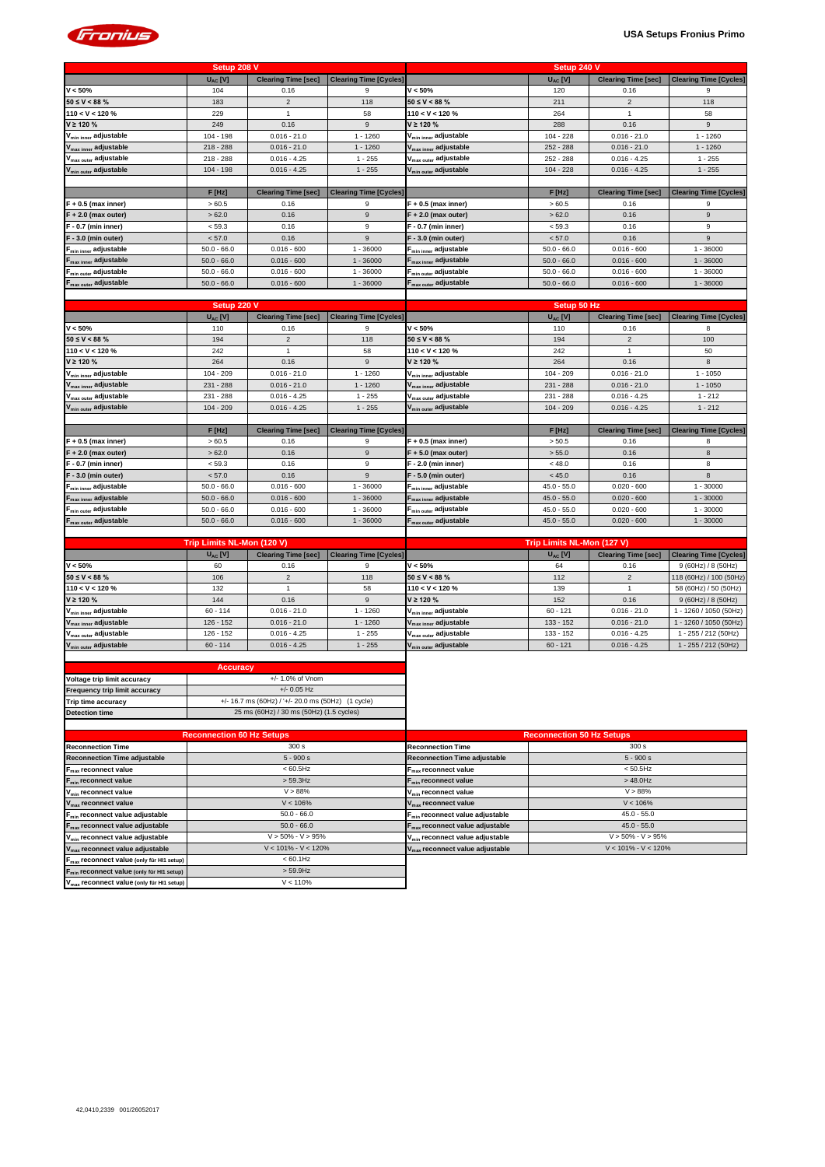

|                                   | Setup 208 V   |                            |                               |                                   | Setup 240 V   |                            |                               |
|-----------------------------------|---------------|----------------------------|-------------------------------|-----------------------------------|---------------|----------------------------|-------------------------------|
|                                   | $U_{AC}$ [V]  | <b>Clearing Time [sec]</b> | <b>Clearing Time [Cycles]</b> |                                   | $U_{AC}$ [V]  | <b>Clearing Time [sec]</b> | <b>Clearing Time [Cycles]</b> |
| $V < 50\%$                        | 104           | 0.16                       | 9                             | $V < 50\%$                        | 120           | 0.16                       | 9                             |
| $50 \le V < 88 \%$                | 183           | 2                          | 118                           | $50 \le V < 88 \%$                | 211           | $\overline{2}$             | 118                           |
| $110 < V < 120 \%$                | 229           |                            | 58                            | $110 < V < 120 \%$                | 264           |                            | 58                            |
| $V \ge 120 \%$                    | 249           | 0.16                       | 9                             | $V \ge 120 \%$                    | 288           | 0.16                       | 9                             |
| V <sub>min inner</sub> adjustable | $104 - 198$   | $0.016 - 21.0$             | $1 - 1260$                    | V <sub>min inner</sub> adjustable | $104 - 228$   | $0.016 - 21.0$             | $1 - 1260$                    |
| V <sub>max inner</sub> adjustable | $218 - 288$   | $0.016 - 21.0$             | $1 - 1260$                    | V <sub>max inner</sub> adjustable | $252 - 288$   | $0.016 - 21.0$             | $1 - 1260$                    |
| V <sub>max outer</sub> adjustable | $218 - 288$   | $0.016 - 4.25$             | $1 - 255$                     | V <sub>max outer</sub> adjustable | 252 - 288     | $0.016 - 4.25$             | $1 - 255$                     |
| V <sub>min outer</sub> adjustable | $104 - 198$   | $0.016 - 4.25$             | $1 - 255$                     | V <sub>min outer</sub> adjustable | $104 - 228$   | $0.016 - 4.25$             | $1 - 255$                     |
|                                   |               |                            |                               |                                   |               |                            |                               |
|                                   | F[Hz]         | <b>Clearing Time [sec]</b> | <b>Clearing Time [Cycles]</b> |                                   | F[Hz]         | <b>Clearing Time [sec]</b> | <b>Clearing Time [Cycles]</b> |
| $F + 0.5$ (max inner)             | >60.5         | 0.16                       | 9                             | $F + 0.5$ (max inner)             | >60.5         | 0.16                       |                               |
| $F + 2.0$ (max outer)             | >62.0         | 0.16                       | 9                             | $F + 2.0$ (max outer)             | >62.0         | 0.16                       | 9                             |
| $F - 0.7$ (min inner)             | < 59.3        | 0.16                       | 9                             | $F - 0.7$ (min inner)             | < 59.3        | 0.16                       | 9                             |
| $F - 3.0$ (min outer)             | < 57.0        | 0.16                       | 9                             | $F - 3.0$ (min outer)             | < 57.0        | 0.16                       | 9                             |
| F <sub>min inner</sub> adjustable | $50.0 - 66.0$ | $0.016 - 600$              | 1 - 36000                     | F <sub>min inner</sub> adjustable | $50.0 - 66.0$ | $0.016 - 600$              | $-36000$                      |
| F <sub>max inner</sub> adjustable | $50.0 - 66.0$ | $0.016 - 600$              | $1 - 36000$                   | F <sub>max inner</sub> adjustable | $50.0 - 66.0$ | $0.016 - 600$              | $1 - 36000$                   |
| $F_{min\ outer}$ adjustable       | $50.0 - 66.0$ | $0.016 - 600$              | 1 - 36000                     | $F_{\text{min outer}}$ adjustable | $50.0 - 66.0$ | $0.016 - 600$              | $1 - 36000$                   |
| F <sub>max outer</sub> adjustable | $50.0 - 66.0$ | $0.016 - 600$              | $1 - 36000$                   | F <sub>max outer</sub> adjustable | $50.0 - 66.0$ | $0.016 - 600$              | $1 - 36000$                   |
|                                   |               |                            |                               |                                   |               |                            |                               |

|                                   | Setup 220 V   |                            |                               | Setup 50 Hz                       |               |                            |                               |  |  |  |  |
|-----------------------------------|---------------|----------------------------|-------------------------------|-----------------------------------|---------------|----------------------------|-------------------------------|--|--|--|--|
|                                   | $U_{AC}$ [V]  | <b>Clearing Time [sec]</b> | <b>Clearing Time [Cycles]</b> |                                   | $U_{AC}$ [V]  | <b>Clearing Time [sec]</b> | <b>Clearing Time [Cycles]</b> |  |  |  |  |
| $V < 50\%$                        | 110           | 0.16                       | 9                             | $V < 50\%$                        | 110           | 0.16                       | 8                             |  |  |  |  |
| $50 \le V < 88 \%$                | 194           | 2                          | 118                           | $50 \le V < 88 \%$                | 194           | 2                          | 100                           |  |  |  |  |
| 110 < V < 120 %                   | 242           |                            | 58                            | 110 < V < 120 %                   | 242           |                            | 50                            |  |  |  |  |
| $V \ge 120 \%$                    | 264           | 0.16                       | 9                             | $V \ge 120 \%$                    | 264           | 0.16                       | 8                             |  |  |  |  |
| V <sub>min inner</sub> adjustable | $104 - 209$   | $0.016 - 21.0$             | $1 - 1260$                    | V <sub>min inner</sub> adjustable | $104 - 209$   | $0.016 - 21.0$             | $1 - 1050$                    |  |  |  |  |
| V <sub>max inner</sub> adjustable | 231 - 288     | $0.016 - 21.0$             | $1 - 1260$                    | V <sub>max inner</sub> adjustable | $231 - 288$   | $0.016 - 21.0$             | $1 - 1050$                    |  |  |  |  |
| V <sub>max outer</sub> adjustable | $231 - 288$   | $0.016 - 4.25$             | $1 - 255$                     | V <sub>max outer</sub> adjustable | $231 - 288$   | $0.016 - 4.25$             | $1 - 212$                     |  |  |  |  |
| V <sub>min outer</sub> adjustable | $104 - 209$   | $0.016 - 4.25$             | $1 - 255$                     | V <sub>min outer</sub> adjustable | $104 - 209$   | $0.016 - 4.25$             | $1 - 212$                     |  |  |  |  |
|                                   |               |                            |                               |                                   |               |                            |                               |  |  |  |  |
|                                   | F[Hz]         | <b>Clearing Time [sec]</b> | <b>Clearing Time [Cycles]</b> |                                   | F[Hz]         | <b>Clearing Time [sec]</b> | <b>Clearing Time [Cycles]</b> |  |  |  |  |
| $F + 0.5$ (max inner)             | >60.5         | 0.16                       | 9                             | $F + 0.5$ (max inner)             | > 50.5        | 0.16                       | 8                             |  |  |  |  |
| $F + 2.0$ (max outer)             | >62.0         | 0.16                       | 9                             | $F + 5.0$ (max outer)             | > 55.0        | 0.16                       | 8                             |  |  |  |  |
| F - 0.7 (min inner)               | < 59.3        | 0.16                       | 9                             | F - 2.0 (min inner)               | < 48.0        | 0.16                       | 8                             |  |  |  |  |
| $F - 3.0$ (min outer)             | < 57.0        | 0.16                       | 9                             | $F - 5.0$ (min outer)             | < 45.0        | 0.16                       | 8                             |  |  |  |  |
| F <sub>min inner</sub> adjustable | $50.0 - 66.0$ | $0.016 - 600$              | $-36000$                      | F <sub>min inner</sub> adjustable | $45.0 - 55.0$ | $0.020 - 600$              | $1 - 30000$                   |  |  |  |  |
| F <sub>max inner</sub> adjustable | $50.0 - 66.0$ | $0.016 - 600$              | $1 - 36000$                   | F <sub>max inner</sub> adjustable | $45.0 - 55.0$ | $0.020 - 600$              | $1 - 30000$                   |  |  |  |  |
| F <sub>min outer</sub> adjustable | $50.0 - 66.0$ | $0.016 - 600$              | $-36000$                      | F <sub>min outer</sub> adjustable | $45.0 - 55.0$ | $0.020 - 600$              | $1 - 30000$                   |  |  |  |  |
| F <sub>max outer</sub> adjustable | $50.0 - 66.0$ | $0.016 - 600$              | $1 - 36000$                   | $F_{\text{max outer}}$ adjustable | $45.0 - 55.0$ | $0.020 - 600$              | $1 - 30000$                   |  |  |  |  |
|                                   |               |                            |                               |                                   |               |                            |                               |  |  |  |  |

|                                   | Trip Limits NL-Mon (120 V) |                            |                               | Trip Limits NL-Mon (127 V)        |              |                            |                               |  |  |  |
|-----------------------------------|----------------------------|----------------------------|-------------------------------|-----------------------------------|--------------|----------------------------|-------------------------------|--|--|--|
|                                   | $U_{AC}$ [V]               | <b>Clearing Time [sec]</b> | <b>Clearing Time [Cycles]</b> |                                   | $U_{AC}$ [V] | <b>Clearing Time [sec]</b> | <b>Clearing Time [Cycles]</b> |  |  |  |
| $V < 50\%$                        | 60                         | 0.16                       |                               | V < 50%                           | 64           | 0.16                       | 9 (60Hz) / 8 (50Hz)           |  |  |  |
| $50 \le V < 88 \%$                | 106                        |                            | 118                           | $50 \leq V < 88 \%$               | 112          |                            | 118 (60Hz) / 100 (50Hz)       |  |  |  |
| $110 < V < 120 \%$                | 132                        |                            | 58                            | $110 < V < 120$ %                 | 139          |                            | 58 (60Hz) / 50 (50Hz)         |  |  |  |
| $V \ge 120 \%$                    | 144                        | 0.16                       |                               | $V \ge 120 \%$                    | 152          | 0.16                       | 9 (60Hz) / 8 (50Hz)           |  |  |  |
| V <sub>min inner</sub> adjustable | $60 - 114$                 | $0.016 - 21.0$             | $1 - 1260$                    | $V_{min inner}$ adjustable        | $60 - 121$   | $0.016 - 21.0$             | 1 - 1260 / 1050 (50Hz)        |  |  |  |
| V <sub>max inner</sub> adjustable | $126 - 152$                | $0.016 - 21.0$             | $1 - 1260$                    | $V_{\text{max inner}}$ adjustable | $133 - 152$  | $0.016 - 21.0$             | 1 - 1260 / 1050 (50Hz)        |  |  |  |
| V <sub>max outer</sub> adjustable | $126 - 152$                | $0.016 - 4.25$             | $-255$                        | V <sub>max outer</sub> adjustable | $133 - 152$  | $0.016 - 4.25$             | $-255/212(50Hz)$              |  |  |  |
| V <sub>min outer</sub> adjustable | $60 - 114$                 | $0.016 - 4.25$             | $1 - 255$                     | V <sub>min outer</sub> adjustable | $60 - 121$   | $0.016 - 4.25$             | $-255/212(50Hz)$              |  |  |  |

| <b>Accuracy</b>                                                   |                                                         |  |  |  |  |  |
|-------------------------------------------------------------------|---------------------------------------------------------|--|--|--|--|--|
| $+/- 1.0\%$ of Vnom<br>Voltage trip limit accuracy                |                                                         |  |  |  |  |  |
| Frequency trip limit accuracy                                     | $+/- 0.05$ Hz                                           |  |  |  |  |  |
| Trip time accuracy                                                | $+/- 16.7$ ms (60Hz) / ' $+/- 20.0$ ms (50Hz) (1 cycle) |  |  |  |  |  |
| 25 ms (60Hz) / 30 ms (50Hz) (1.5 cycles)<br><b>Detection time</b> |                                                         |  |  |  |  |  |
|                                                                   |                                                         |  |  |  |  |  |

|                                                       | <b>Reconnection 60 Hz Setups</b> | <b>Reconnection 50 Hz Setups</b>            |                         |  |  |
|-------------------------------------------------------|----------------------------------|---------------------------------------------|-------------------------|--|--|
| <b>Reconnection Time</b>                              | 300 s                            | <b>Reconnection Time</b>                    | 300 s                   |  |  |
| <b>Reconnection Time adjustable</b>                   | $5 - 900 s$                      | <b>Reconnection Time adjustable</b>         | $5 - 900 s$             |  |  |
| $F_{\text{max}}$ reconnect value                      | $< 60.5$ Hz                      | $F_{\text{max}}$ reconnect value            | $< 50.5$ Hz             |  |  |
| $F_{\min}$ reconnect value                            | $>$ 59.3Hz                       | $F_{min}$ reconnect value                   | $>48.0$ Hz              |  |  |
| V <sub>min</sub> reconnect value                      | V > 88%                          | V <sub>min</sub> reconnect value            | V > 88%                 |  |  |
| $V_{\text{max}}$ reconnect value                      | $V < 106\%$                      | $V_{\text{max}}$ reconnect value            | V < 106%                |  |  |
| $F_{min}$ reconnect value adjustable                  | $50.0 - 66.0$                    | F <sub>min</sub> reconnect value adjustable | $45.0 - 55.0$           |  |  |
| $F_{\text{max}}$ reconnect value adjustable           | $50.0 - 66.0$                    | $F_{\text{max}}$ reconnect value adjustable | $45.0 - 55.0$           |  |  |
| V <sub>min</sub> reconnect value adjustable           | $V > 50\% - V > 95\%$            | V <sub>min</sub> reconnect value adjustable | $V > 50\% - V > 95\%$   |  |  |
| $V_{\text{max}}$ reconnect value adjustable           | $V < 101\% - V < 120\%$          | V <sub>max</sub> reconnect value adjustable | $V < 101\% - V < 120\%$ |  |  |
| F <sub>max</sub> reconnect value (only für HI1 setup) | $< 60.1$ Hz                      |                                             |                         |  |  |
| F <sub>min</sub> reconnect value (only für HI1 setup) | $>$ 59.9Hz                       |                                             |                         |  |  |
| V <sub>max</sub> reconnect value (only für HI1 setup) | V < 110%                         |                                             |                         |  |  |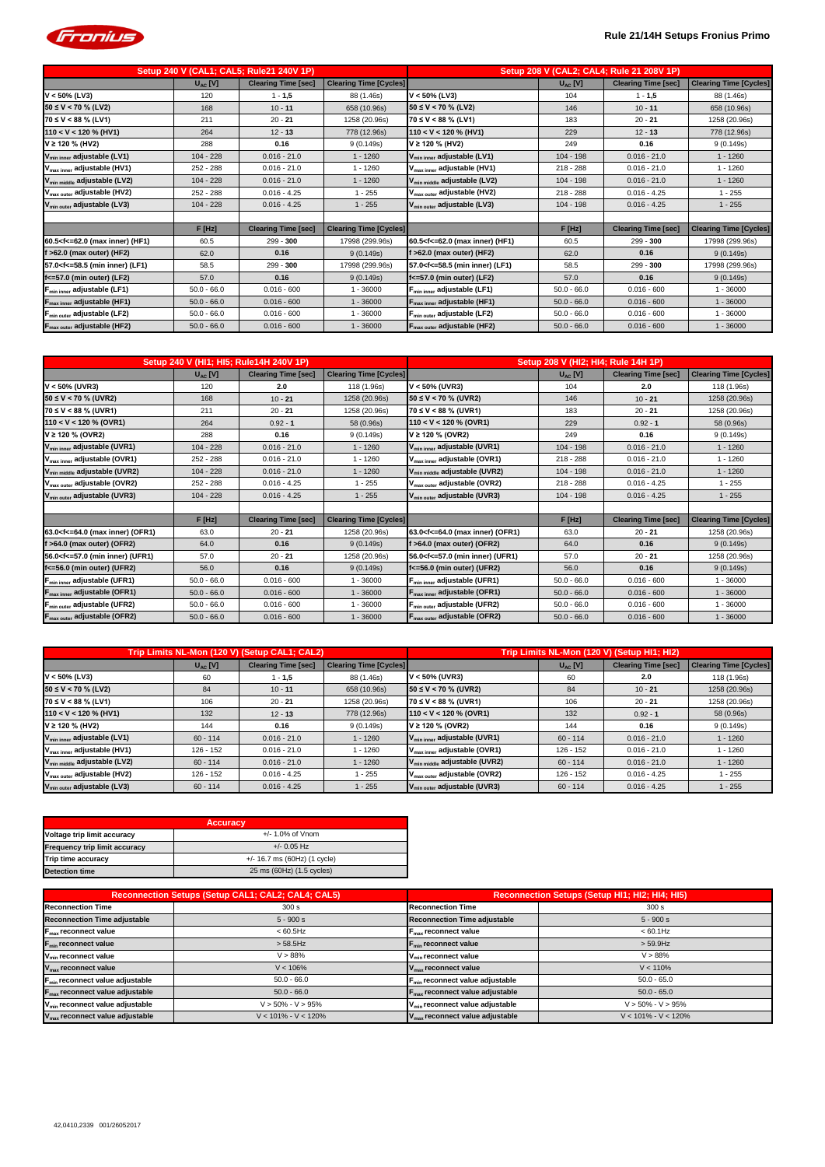

| Setup 240 V (CAL1; CAL5; Rule21 240V 1P)                                                                                                                                                                                                                             |               |                            |                               |                                                                                                                                | Setup 208 V (CAL2; CAL4; Rule 21 208V 1P) |                            |                               |
|----------------------------------------------------------------------------------------------------------------------------------------------------------------------------------------------------------------------------------------------------------------------|---------------|----------------------------|-------------------------------|--------------------------------------------------------------------------------------------------------------------------------|-------------------------------------------|----------------------------|-------------------------------|
|                                                                                                                                                                                                                                                                      | $U_{AC}$ [V]  | <b>Clearing Time [sec]</b> | <b>Clearing Time [Cycles]</b> |                                                                                                                                | $U_{AC}$ [V]                              | <b>Clearing Time [sec]</b> | <b>Clearing Time [Cycles]</b> |
| $V < 50\%$ (LV3)                                                                                                                                                                                                                                                     | 120           | $1 - 1,5$                  | 88 (1.46s)                    | $V < 50\%$ (LV3)                                                                                                               | 104                                       | $1 - 1,5$                  | 88 (1.46s)                    |
| $50 \le V < 70$ % (LV2)                                                                                                                                                                                                                                              | 168           | $10 - 11$                  | 658 (10.96s)                  | $50 \le V < 70$ % (LV2)                                                                                                        | 146                                       | $10 - 11$                  | 658 (10.96s)                  |
| $70 \le V < 88$ % (LV1)                                                                                                                                                                                                                                              | 211           | $20 - 21$                  | 1258 (20.96s)                 | $70 ≤ V < 88 %$ (LV1)                                                                                                          | 183                                       | $20 - 21$                  | 1258 (20.96s)                 |
| $110 < V < 120$ % (HV1)                                                                                                                                                                                                                                              | 264           | $12 - 13$                  | 778 (12.96s)                  | $110 < V < 120 \%$ (HV1)                                                                                                       | 229                                       | $12 - 13$                  | 778 (12.96s)                  |
| $V \ge 120 \%$ (HV2)                                                                                                                                                                                                                                                 | 288           | 0.16                       | 9(0.149s)                     | V ≥ 120 % (HV2)                                                                                                                | 249                                       | 0.16                       | 9(0.149s)                     |
| V <sub>min inner</sub> adjustable (LV1)                                                                                                                                                                                                                              | $104 - 228$   | $0.016 - 21.0$             | $1 - 1260$                    | V <sub>min inner</sub> adjustable (LV1)                                                                                        | $104 - 198$                               | $0.016 - 21.0$             | $1 - 1260$                    |
| V <sub>max inner</sub> adjustable (HV1)                                                                                                                                                                                                                              | 252 - 288     | $0.016 - 21.0$             | $1 - 1260$                    | V <sub>max inner</sub> adjustable (HV1)                                                                                        | $218 - 288$                               | $0.016 - 21.0$             | $1 - 1260$                    |
| V <sub>min middle</sub> adjustable (LV2)                                                                                                                                                                                                                             | $104 - 228$   | $0.016 - 21.0$             | $1 - 1260$                    | V <sub>min middle</sub> adjustable (LV2)                                                                                       | $104 - 198$                               | $0.016 - 21.0$             | $1 - 1260$                    |
| V <sub>max outer</sub> adjustable (HV2)                                                                                                                                                                                                                              | 252 - 288     | $0.016 - 4.25$             | $1 - 255$                     | V <sub>max outer</sub> adjustable (HV2)                                                                                        | $218 - 288$                               | $0.016 - 4.25$             | $1 - 255$                     |
| V <sub>min outer</sub> adjustable (LV3)                                                                                                                                                                                                                              | $104 - 228$   | $0.016 - 4.25$             | $1 - 255$                     | V <sub>min outer</sub> adjustable (LV3)                                                                                        | $104 - 198$                               | $0.016 - 4.25$             | $1 - 255$                     |
|                                                                                                                                                                                                                                                                      |               |                            |                               |                                                                                                                                |                                           |                            |                               |
|                                                                                                                                                                                                                                                                      | $F$ [Hz]      | <b>Clearing Time [sec]</b> | <b>Clearing Time [Cycles]</b> |                                                                                                                                | $F$ [Hz]                                  | <b>Clearing Time [sec]</b> | <b>Clearing Time [Cycles]</b> |
| 60.5 <f<=62.0 (hf1)<="" (max="" inner)="" th=""><td>60.5</td><td><math>299 - 300</math></td><td>17998 (299.96s)</td><th>60.5<f<=62.0 (hf1)<="" (max="" inner)="" th=""><td>60.5</td><td><math>299 - 300</math></td><td>17998 (299.96s)</td></f<=62.0></th></f<=62.0> | 60.5          | $299 - 300$                | 17998 (299.96s)               | 60.5 <f<=62.0 (hf1)<="" (max="" inner)="" th=""><td>60.5</td><td><math>299 - 300</math></td><td>17998 (299.96s)</td></f<=62.0> | 60.5                                      | $299 - 300$                | 17998 (299.96s)               |
| $f > 62.0$ (max outer) (HF2)                                                                                                                                                                                                                                         | 62.0          | 0.16                       | 9(0.149s)                     | $f > 62.0$ (max outer) (HF2)                                                                                                   | 62.0                                      | 0.16                       | 9(0.149s)                     |
| 57.0 <f<=58.5 (lf1)<="" (min="" inner)="" th=""><td>58.5</td><td><math>299 - 300</math></td><td>17998 (299.96s)</td><th>57.0<f<=58.5 (lf1)<="" (min="" inner)="" th=""><td>58.5</td><td><math>299 - 300</math></td><td>17998 (299.96s)</td></f<=58.5></th></f<=58.5> | 58.5          | $299 - 300$                | 17998 (299.96s)               | 57.0 <f<=58.5 (lf1)<="" (min="" inner)="" th=""><td>58.5</td><td><math>299 - 300</math></td><td>17998 (299.96s)</td></f<=58.5> | 58.5                                      | $299 - 300$                | 17998 (299.96s)               |
| $f$ <= 57.0 (min outer) (LF2)                                                                                                                                                                                                                                        | 57.0          | 0.16                       | 9(0.149s)                     | f<=57.0 (min outer) (LF2)                                                                                                      | 57.0                                      | 0.16                       | 9(0.149s)                     |
| $F_{min inner}$ adjustable (LF1)                                                                                                                                                                                                                                     | $50.0 - 66.0$ | $0.016 - 600$              | $1 - 36000$                   | F <sub>min inner</sub> adjustable (LF1)                                                                                        | $50.0 - 66.0$                             | $0.016 - 600$              | $1 - 36000$                   |
| F <sub>max inner</sub> adjustable (HF1)                                                                                                                                                                                                                              | $50.0 - 66.0$ | $0.016 - 600$              | $1 - 36000$                   | $F_{\text{max inner}}$ adjustable (HF1)                                                                                        | $50.0 - 66.0$                             | $0.016 - 600$              | $1 - 36000$                   |
| F <sub>min outer</sub> adjustable (LF2)                                                                                                                                                                                                                              | $50.0 - 66.0$ | $0.016 - 600$              | $-36000$                      | <b>F<sub>min outer</sub> adjustable (LF2)</b>                                                                                  | $50.0 - 66.0$                             | $0.016 - 600$              | $1 - 36000$                   |
| F <sub>max outer</sub> adjustable (HF2)                                                                                                                                                                                                                              | $50.0 - 66.0$ | $0.016 - 600$              | $1 - 36000$                   | F <sub>max outer</sub> adjustable (HF2)                                                                                        | $50.0 - 66.0$                             | $0.016 - 600$              | $1 - 36000$                   |

| Setup 240 V (HI1; HI5; Rule14H 240V 1P)                                                                                                                                                                                                                        |               |                            | Setup 208 V (HI2; HI4; Rule 14H 1P) |                                                                                                                             |               |                            |                               |
|----------------------------------------------------------------------------------------------------------------------------------------------------------------------------------------------------------------------------------------------------------------|---------------|----------------------------|-------------------------------------|-----------------------------------------------------------------------------------------------------------------------------|---------------|----------------------------|-------------------------------|
|                                                                                                                                                                                                                                                                | $U_{AC}$ [V]  | <b>Clearing Time [sec]</b> | <b>Clearing Time [Cycles]</b>       |                                                                                                                             | $U_{AC}$ [V]  | <b>Clearing Time [sec]</b> | <b>Clearing Time [Cycles]</b> |
| $V < 50\%$ (UVR3)                                                                                                                                                                                                                                              | 120           | 2.0                        | 118 (1.96s)                         | $V < 50\%$ (UVR3)                                                                                                           | 104           | 2.0                        | 118 (1.96s)                   |
| $50 \le V < 70$ % (UVR2)                                                                                                                                                                                                                                       | 168           | $10 - 21$                  | 1258 (20.96s)                       | $150 \le V < 70$ % (UVR2)                                                                                                   | 146           | $10 - 21$                  | 1258 (20.96s)                 |
| 70 ≤ V < 88 % (UVR1)                                                                                                                                                                                                                                           | 211           | $20 - 21$                  | 1258 (20.96s)                       | $70 \le V < 88 \%$ (UVR1)                                                                                                   | 183           | $20 - 21$                  | 1258 (20.96s)                 |
| $110 < V < 120$ % (OVR1)                                                                                                                                                                                                                                       | 264           | $0.92 - 1$                 | 58 (0.96s)                          | $110 < V < 120$ % (OVR1)                                                                                                    | 229           | $0.92 - 1$                 | 58 (0.96s)                    |
| $V \ge 120 \%$ (OVR2)                                                                                                                                                                                                                                          | 288           | 0.16                       | 9(0.149s)                           | $V$ ≥ 120 % (OVR2)                                                                                                          | 249           | 0.16                       | 9(0.149s)                     |
| V <sub>min inner</sub> adjustable (UVR1)                                                                                                                                                                                                                       | $104 - 228$   | $0.016 - 21.0$             | $1 - 1260$                          | V <sub>min inner</sub> adjustable (UVR1)                                                                                    | $104 - 198$   | $0.016 - 21.0$             | $1 - 1260$                    |
| V <sub>max inner</sub> adjustable (OVR1)                                                                                                                                                                                                                       | 252 - 288     | $0.016 - 21.0$             | $1 - 1260$                          | V <sub>max inner</sub> adjustable (OVR1)                                                                                    | $218 - 288$   | $0.016 - 21.0$             | $1 - 1260$                    |
| V <sub>min middle</sub> adjustable (UVR2)                                                                                                                                                                                                                      | $104 - 228$   | $0.016 - 21.0$             | $1 - 1260$                          | V <sub>min middle</sub> adjustable (UVR2)                                                                                   | $104 - 198$   | $0.016 - 21.0$             | $1 - 1260$                    |
| V <sub>max outer</sub> adjustable (OVR2)                                                                                                                                                                                                                       | 252 - 288     | $0.016 - 4.25$             | $1 - 255$                           | V <sub>max outer</sub> adjustable (OVR2)                                                                                    | $218 - 288$   | $0.016 - 4.25$             | $1 - 255$                     |
| V <sub>min outer</sub> adjustable (UVR3)                                                                                                                                                                                                                       | $104 - 228$   | $0.016 - 4.25$             | $1 - 255$                           | V <sub>min outer</sub> adjustable (UVR3)                                                                                    | $104 - 198$   | $0.016 - 4.25$             | $1 - 255$                     |
|                                                                                                                                                                                                                                                                |               |                            |                                     |                                                                                                                             |               |                            |                               |
|                                                                                                                                                                                                                                                                | F[Hz]         | <b>Clearing Time [sec]</b> | <b>Clearing Time [Cycles]</b>       |                                                                                                                             | F[Hz]         | <b>Clearing Time [sec]</b> | <b>Clearing Time [Cycles]</b> |
| 63.0 <f<=64.0 (max="" (ofr1)<="" inner)="" td=""><td>63.0</td><td><math>20 - 21</math></td><td>1258 (20.96s)</td><td>63.0<f<=64.0 (max="" (ofr1)<="" inner)="" td=""><td>63.0</td><td><math>20 - 21</math></td><td>1258 (20.96s)</td></f<=64.0></td></f<=64.0> | 63.0          | $20 - 21$                  | 1258 (20.96s)                       | 63.0 <f<=64.0 (max="" (ofr1)<="" inner)="" td=""><td>63.0</td><td><math>20 - 21</math></td><td>1258 (20.96s)</td></f<=64.0> | 63.0          | $20 - 21$                  | 1258 (20.96s)                 |
| >64.0 (max outer) (OFR2)                                                                                                                                                                                                                                       | 64.0          | 0.16                       | 9(0.149s)                           | $f > 64.0$ (max outer) (OFR2)                                                                                               | 64.0          | 0.16                       | 9(0.149s)                     |
| 56.0 <f<=57.0 (min="" (ufr1)<="" inner)="" td=""><td>57.0</td><td><math>20 - 21</math></td><td>1258 (20.96s)</td><td>56.0<f<=57.0 (min="" (ufr1)<="" inner)="" td=""><td>57.0</td><td><math>20 - 21</math></td><td>1258 (20.96s)</td></f<=57.0></td></f<=57.0> | 57.0          | $20 - 21$                  | 1258 (20.96s)                       | 56.0 <f<=57.0 (min="" (ufr1)<="" inner)="" td=""><td>57.0</td><td><math>20 - 21</math></td><td>1258 (20.96s)</td></f<=57.0> | 57.0          | $20 - 21$                  | 1258 (20.96s)                 |
| f<=56.0 (min outer) (UFR2)                                                                                                                                                                                                                                     | 56.0          | 0.16                       | 9(0.149s)                           | $f \le 56.0$ (min outer) (UFR2)                                                                                             | 56.0          | 0.16                       | 9(0.149s)                     |
| F <sub>min inner</sub> adjustable (UFR1)                                                                                                                                                                                                                       | $50.0 - 66.0$ | $0.016 - 600$              | $1 - 36000$                         | F <sub>min inner</sub> adjustable (UFR1)                                                                                    | $50.0 - 66.0$ | $0.016 - 600$              | $1 - 36000$                   |
| F <sub>max inner</sub> adjustable (OFR1)                                                                                                                                                                                                                       | $50.0 - 66.0$ | $0.016 - 600$              | $1 - 36000$                         | F <sub>max inner</sub> adjustable (OFR1)                                                                                    | $50.0 - 66.0$ | $0.016 - 600$              | $1 - 36000$                   |
| F <sub>min outer</sub> adjustable (UFR2)                                                                                                                                                                                                                       | $50.0 - 66.0$ | $0.016 - 600$              | $1 - 36000$                         | F <sub>min outer</sub> adjustable (UFR2)                                                                                    | $50.0 - 66.0$ | $0.016 - 600$              | $1 - 36000$                   |
| F <sub>max outer</sub> adjustable (OFR2)                                                                                                                                                                                                                       | $50.0 - 66.0$ | $0.016 - 600$              | $1 - 36000$                         | F <sub>max outer</sub> adjustable (OFR2)                                                                                    | $50.0 - 66.0$ | $0.016 - 600$              | $1 - 36000$                   |

| Trip Limits NL-Mon (120 V) (Setup CAL1; CAL2) |              |                            | Trip Limits NL-Mon (120 V) (Setup HI1; HI2) |                                           |              |                            |                               |
|-----------------------------------------------|--------------|----------------------------|---------------------------------------------|-------------------------------------------|--------------|----------------------------|-------------------------------|
|                                               | $U_{AC}$ [V] | <b>Clearing Time [sec]</b> | <b>Clearing Time [Cycles]</b>               |                                           | $U_{AC}$ [V] | <b>Clearing Time [sec]</b> | <b>Clearing Time [Cycles]</b> |
| $V < 50\%$ (LV3)                              | 60           | 1 - 1,5                    | 88 (1.46s)                                  | $V < 50\%$ (UVR3)                         | 60           | 2.0                        | 118 (1.96s)                   |
| $50 \le V < 70$ % (LV2)                       | 84           | $10 - 11$                  | 658 (10.96s)                                | $ 50 \le V < 70$ % (UVR2)                 | 84           | $10 - 21$                  | 1258 (20.96s)                 |
| $70 \le V < 88 \%$ (LV1)                      | 106          | $20 - 21$                  | 1258 (20.96s)                               | $70 \le V < 88 \%$ (UVR1)                 | 106          | $20 - 21$                  | 1258 (20.96s)                 |
| $110 < V < 120$ % (HV1)                       | 132          | $12 - 13$                  | 778 (12.96s)                                | $110 < V < 120$ % (OVR1)                  | 132          | $0.92 - 1$                 | 58 (0.96s)                    |
| $V \ge 120 \%$ (HV2)                          | 144          | 0.16                       | 9(0.149s)                                   | $V \ge 120 \%$ (OVR2)                     | 144          | 0.16                       | 9 (0.149s)                    |
| $V_{min inner}$ adjustable (LV1)              | $60 - 114$   | $0.016 - 21.0$             | $1 - 1260$                                  | V <sub>min inner</sub> adjustable (UVR1)  | $60 - 114$   | $0.016 - 21.0$             | $1 - 1260$                    |
| $V_{\text{max inner}}$ adjustable (HV1)       | 126 - 152    | $0.016 - 21.0$             | 1 - 1260                                    | V <sub>max inner</sub> adjustable (OVR1)  | 126 - 152    | $0.016 - 21.0$             | $1 - 1260$                    |
| V <sub>min middle</sub> adjustable (LV2)      | $60 - 114$   | $0.016 - 21.0$             | $1 - 1260$                                  | V <sub>min middle</sub> adjustable (UVR2) | $60 - 114$   | $0.016 - 21.0$             | $1 - 1260$                    |
| V <sub>max outer</sub> adjustable (HV2)       | 126 - 152    | $0.016 - 4.25$             | $-255$                                      | V <sub>max outer</sub> adjustable (OVR2)  | 126 - 152    | $0.016 - 4.25$             | $1 - 255$                     |
| V <sub>min outer</sub> adjustable (LV3)       | $60 - 114$   | $0.016 - 4.25$             | $1 - 255$                                   | V <sub>min outer</sub> adjustable (UVR3)  | $60 - 114$   | $0.016 - 4.25$             | $1 - 255$                     |

| <b>Accuracy</b>                      |                                |  |  |  |  |
|--------------------------------------|--------------------------------|--|--|--|--|
| Voltage trip limit accuracy          | $+/- 1.0\%$ of Vnom            |  |  |  |  |
| <b>Frequency trip limit accuracy</b> | $+/- 0.05$ Hz                  |  |  |  |  |
| Trip time accuracy                   | $+/- 16.7$ ms (60Hz) (1 cycle) |  |  |  |  |
| <b>Detection time</b>                | 25 ms (60Hz) (1.5 cycles)      |  |  |  |  |

|                                                | <b>Reconnection Setups (Setup CAL1; CAL2; CAL4; CAL5)</b> |                                             | <b>Reconnection Setups (Setup HI1; HI2; HI4; HI5)</b> |  |  |  |
|------------------------------------------------|-----------------------------------------------------------|---------------------------------------------|-------------------------------------------------------|--|--|--|
| <b>Reconnection Time</b>                       | 300 s                                                     | <b>Reconnection Time</b>                    | 300 s                                                 |  |  |  |
| <b>Reconnection Time adjustable</b>            | $5 - 900 s$                                               | <b>Reconnection Time adjustable</b>         | $5 - 900 s$                                           |  |  |  |
| $\mathsf{F}_{\text{max}}$ reconnect value      | $< 60.5$ Hz                                               | $Fmax$ reconnect value                      | $< 60.1$ Hz                                           |  |  |  |
| $F_{min}$ reconnect value                      | $>$ 58.5Hz                                                | $\mathsf{F}_{\min}$ reconnect value         | $>$ 59.9Hz                                            |  |  |  |
| $V_{\min}$ reconnect value                     | V > 88%                                                   | $V_{\min}$ reconnect value                  | V > 88%                                               |  |  |  |
| $V_{\text{max}}$ reconnect value               | $V < 106\%$                                               | $V_{\text{max}}$ reconnect value            | V < 110%                                              |  |  |  |
| $\mathsf{F}_{\min}$ reconnect value adjustable | $50.0 - 66.0$                                             | $F_{min}$ reconnect value adjustable        | $50.0 - 65.0$                                         |  |  |  |
| $F_{\text{max}}$ reconnect value adjustable    | $50.0 - 66.0$                                             | $Fmax$ reconnect value adjustable           | $50.0 - 65.0$                                         |  |  |  |
| $V_{min}$ reconnect value adjustable           | $V > 50\% - V > 95\%$                                     | V <sub>min</sub> reconnect value adjustable | $V > 50\% - V > 95\%$                                 |  |  |  |
| $V_{\text{max}}$ reconnect value adjustable    | $V < 101\% - V < 120\%$                                   | $Vmax$ reconnect value adjustable           | $V < 101\% - V < 120\%$                               |  |  |  |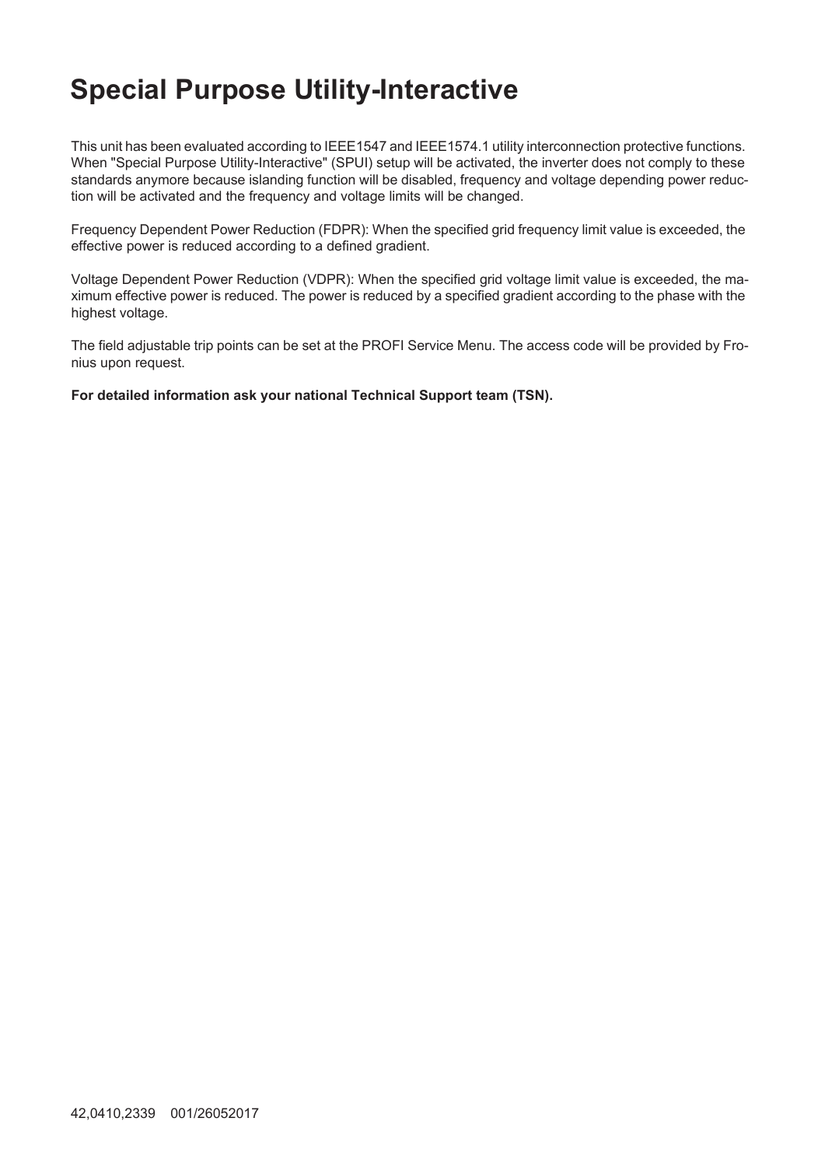## **Special Purpose Utility-Interactive**

This unit has been evaluated according to IEEE1547 and IEEE1574.1 utility interconnection protective functions. When "Special Purpose Utility-Interactive" (SPUI) setup will be activated, the inverter does not comply to these standards anymore because islanding function will be disabled, frequency and voltage depending power reduction will be activated and the frequency and voltage limits will be changed.

Frequency Dependent Power Reduction (FDPR): When the specified grid frequency limit value is exceeded, the effective power is reduced according to a defined gradient.

Voltage Dependent Power Reduction (VDPR): When the specified grid voltage limit value is exceeded, the maximum effective power is reduced. The power is reduced by a specified gradient according to the phase with the highest voltage.

The field adjustable trip points can be set at the PROFI Service Menu. The access code will be provided by Fronius upon request.

**For detailed information ask your national Technical Support team (TSN).**